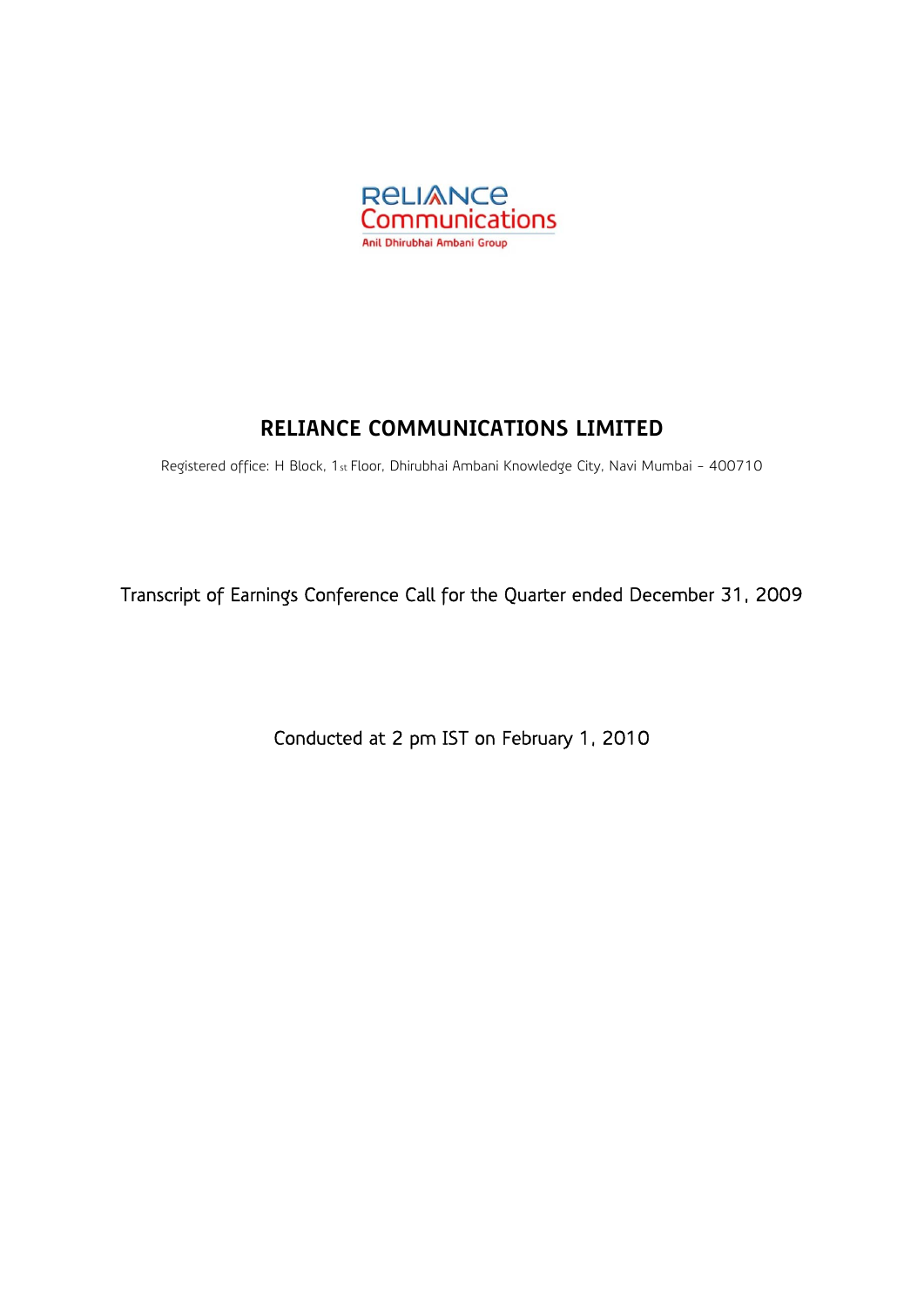

# **RELIANCE COMMUNICATIONS LIMITED**

Registered office: H Block, 1st Floor, Dhirubhai Ambani Knowledge City, Navi Mumbai - 400710

Transcript of Earnings Conference Call for the Quarter ended December 31, 2009

Conducted at 2 pm IST on February 1, 2010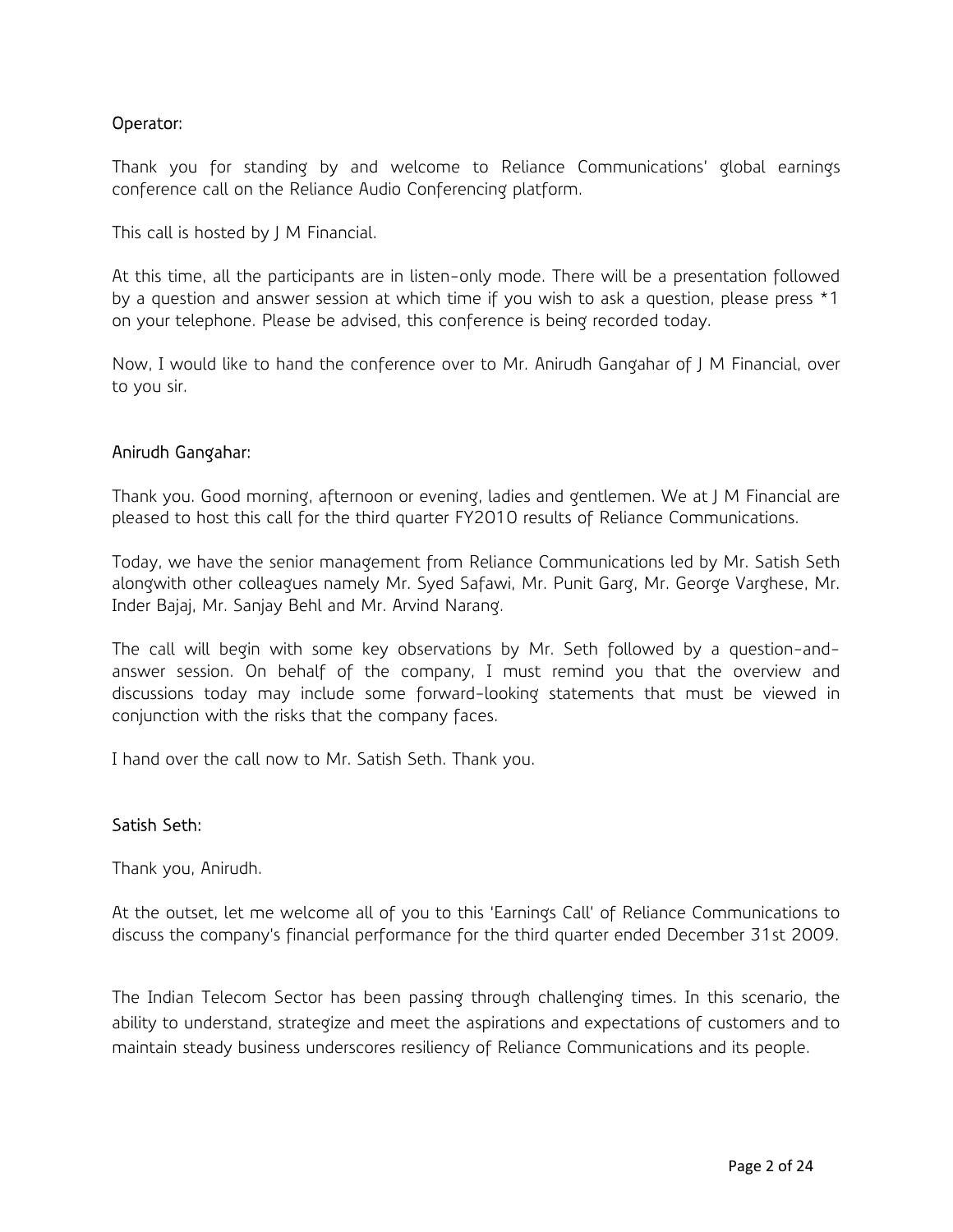# Operator:

Thank you for standing by and welcome to Reliance Communications' global earnings conference call on the Reliance Audio Conferencing platform.

This call is hosted by J M Financial.

At this time, all the participants are in listen-only mode. There will be a presentation followed by a question and answer session at which time if you wish to ask a question, please press \*1 on your telephone. Please be advised, this conference is being recorded today.

Now, I would like to hand the conference over to Mr. Anirudh Gangahar of J M Financial, over to you sir.

### Anirudh Gangahar:

Thank you. Good morning, afternoon or evening, ladies and gentlemen. We at J M Financial are pleased to host this call for the third quarter FY2010 results of Reliance Communications.

Today, we have the senior management from Reliance Communications led by Mr. Satish Seth alongwith other colleagues namely Mr. Syed Safawi, Mr. Punit Garg, Mr. George Varghese, Mr. Inder Bajaj, Mr. Sanjay Behl and Mr. Arvind Narang.

The call will begin with some key observations by Mr. Seth followed by a question-andanswer session. On behalf of the company, I must remind you that the overview and discussions today may include some forward-looking statements that must be viewed in conjunction with the risks that the company faces.

I hand over the call now to Mr. Satish Seth. Thank you.

### Satish Seth:

Thank you, Anirudh.

At the outset, let me welcome all of you to this 'Earnings Call' of Reliance Communications to discuss the company's financial performance for the third quarter ended December 31st 2009.

The Indian Telecom Sector has been passing through challenging times. In this scenario, the ability to understand, strategize and meet the aspirations and expectations of customers and to maintain steady business underscores resiliency of Reliance Communications and its people.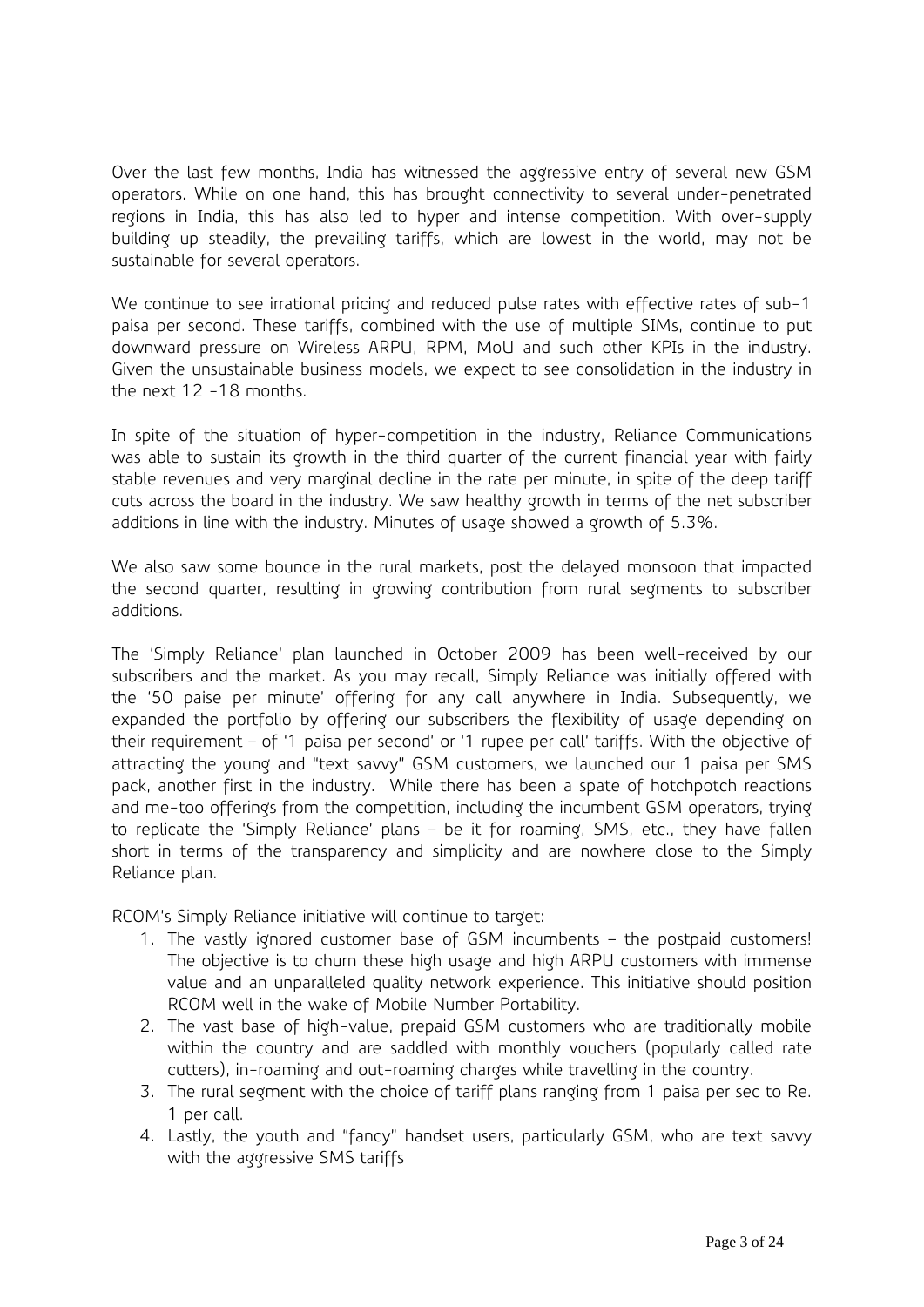Over the last few months, India has witnessed the aggressive entry of several new GSM operators. While on one hand, this has brought connectivity to several under-penetrated regions in India, this has also led to hyper and intense competition. With over-supply building up steadily, the prevailing tariffs, which are lowest in the world, may not be sustainable for several operators.

We continue to see irrational pricing and reduced pulse rates with effective rates of sub-1 paisa per second. These tariffs, combined with the use of multiple SIMs, continue to put downward pressure on Wireless ARPU, RPM, MoU and such other KPIs in the industry. Given the unsustainable business models, we expect to see consolidation in the industry in the next 12 -18 months.

In spite of the situation of hyper-competition in the industry, Reliance Communications was able to sustain its growth in the third quarter of the current financial year with fairly stable revenues and very marginal decline in the rate per minute, in spite of the deep tariff cuts across the board in the industry. We saw healthy growth in terms of the net subscriber additions in line with the industry. Minutes of usage showed a growth of 5.3%.

We also saw some bounce in the rural markets, post the delayed monsoon that impacted the second quarter, resulting in growing contribution from rural segments to subscriber additions.

The 'Simply Reliance' plan launched in October 2009 has been well-received by our subscribers and the market. As you may recall, Simply Reliance was initially offered with the '50 paise per minute' offering for any call anywhere in India. Subsequently, we expanded the portfolio by offering our subscribers the flexibility of usage depending on their requirement – of '1 paisa per second' or '1 rupee per call' tariffs. With the objective of attracting the young and "text savvy" GSM customers, we launched our 1 paisa per SMS pack, another first in the industry. While there has been a spate of hotchpotch reactions and me-too offerings from the competition, including the incumbent GSM operators, trying to replicate the 'Simply Reliance' plans – be it for roaming, SMS, etc., they have fallen short in terms of the transparency and simplicity and are nowhere close to the Simply Reliance plan.

RCOM's Simply Reliance initiative will continue to target:

- 1. The vastly ignored customer base of GSM incumbents the postpaid customers! The objective is to churn these high usage and high ARPU customers with immense value and an unparalleled quality network experience. This initiative should position RCOM well in the wake of Mobile Number Portability.
- 2. The vast base of high-value, prepaid GSM customers who are traditionally mobile within the country and are saddled with monthly vouchers (popularly called rate cutters), in-roaming and out-roaming charges while travelling in the country.
- 3. The rural segment with the choice of tariff plans ranging from 1 paisa per sec to Re. 1 per call.
- 4. Lastly, the youth and "fancy" handset users, particularly GSM, who are text savvy with the aggressive SMS tariffs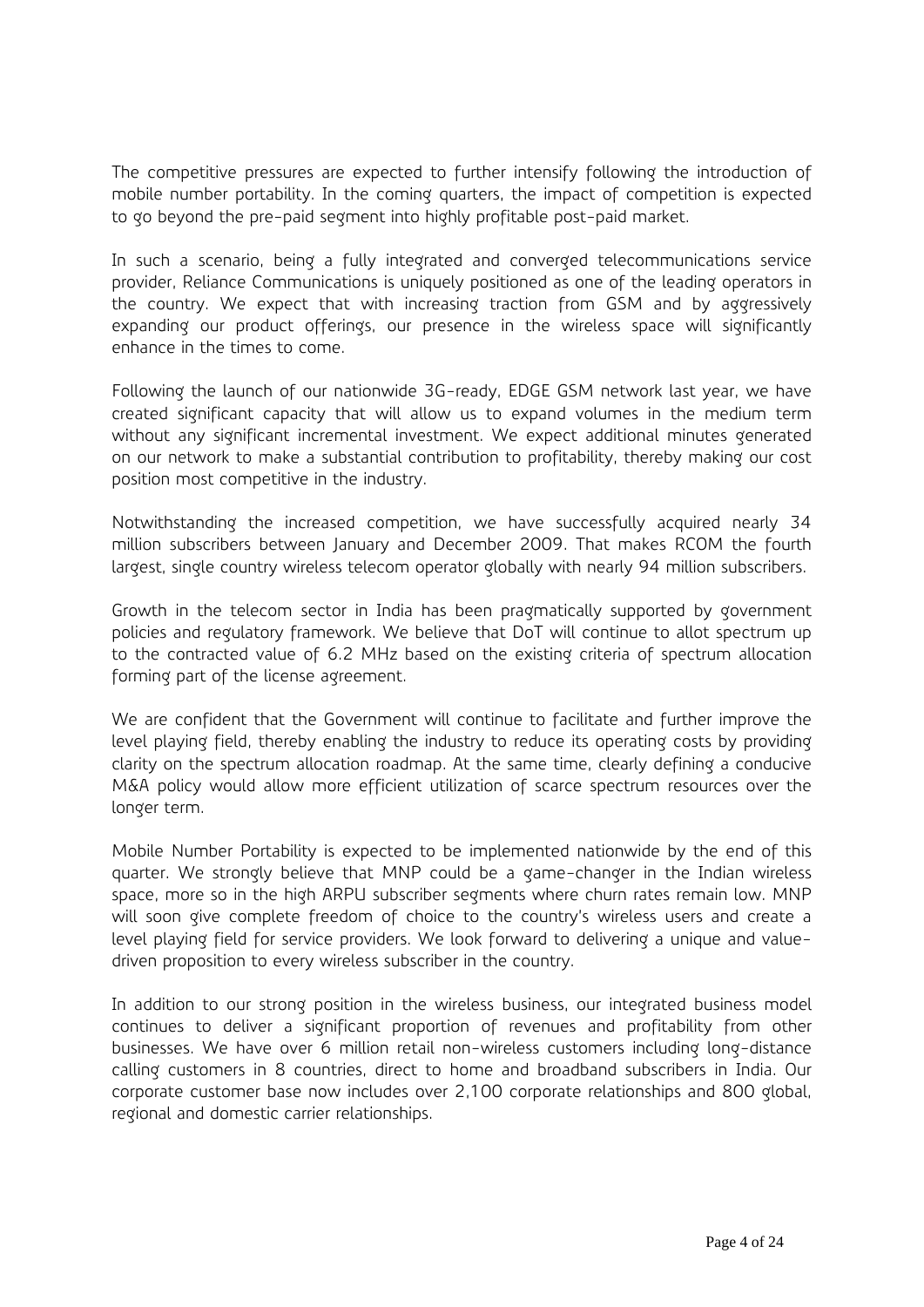The competitive pressures are expected to further intensify following the introduction of mobile number portability. In the coming quarters, the impact of competition is expected to go beyond the pre-paid segment into highly profitable post-paid market.

In such a scenario, being a fully integrated and converged telecommunications service provider, Reliance Communications is uniquely positioned as one of the leading operators in the country. We expect that with increasing traction from GSM and by aggressively expanding our product offerings, our presence in the wireless space will significantly enhance in the times to come.

Following the launch of our nationwide 3G-ready, EDGE GSM network last year, we have created significant capacity that will allow us to expand volumes in the medium term without any significant incremental investment. We expect additional minutes generated on our network to make a substantial contribution to profitability, thereby making our cost position most competitive in the industry.

Notwithstanding the increased competition, we have successfully acquired nearly 34 million subscribers between January and December 2009. That makes RCOM the fourth largest, single country wireless telecom operator globally with nearly 94 million subscribers.

Growth in the telecom sector in India has been pragmatically supported by government policies and regulatory framework. We believe that DoT will continue to allot spectrum up to the contracted value of 6.2 MHz based on the existing criteria of spectrum allocation forming part of the license agreement.

We are confident that the Government will continue to facilitate and further improve the level playing field, thereby enabling the industry to reduce its operating costs by providing clarity on the spectrum allocation roadmap. At the same time, clearly defining a conducive M&A policy would allow more efficient utilization of scarce spectrum resources over the longer term.

Mobile Number Portability is expected to be implemented nationwide by the end of this quarter. We strongly believe that MNP could be a game-changer in the Indian wireless space, more so in the high ARPU subscriber segments where churn rates remain low. MNP will soon give complete freedom of choice to the country's wireless users and create a level playing field for service providers. We look forward to delivering a unique and valuedriven proposition to every wireless subscriber in the country.

In addition to our strong position in the wireless business, our integrated business model continues to deliver a significant proportion of revenues and profitability from other businesses. We have over 6 million retail non-wireless customers including long-distance calling customers in 8 countries, direct to home and broadband subscribers in India. Our corporate customer base now includes over 2,100 corporate relationships and 800 global, regional and domestic carrier relationships.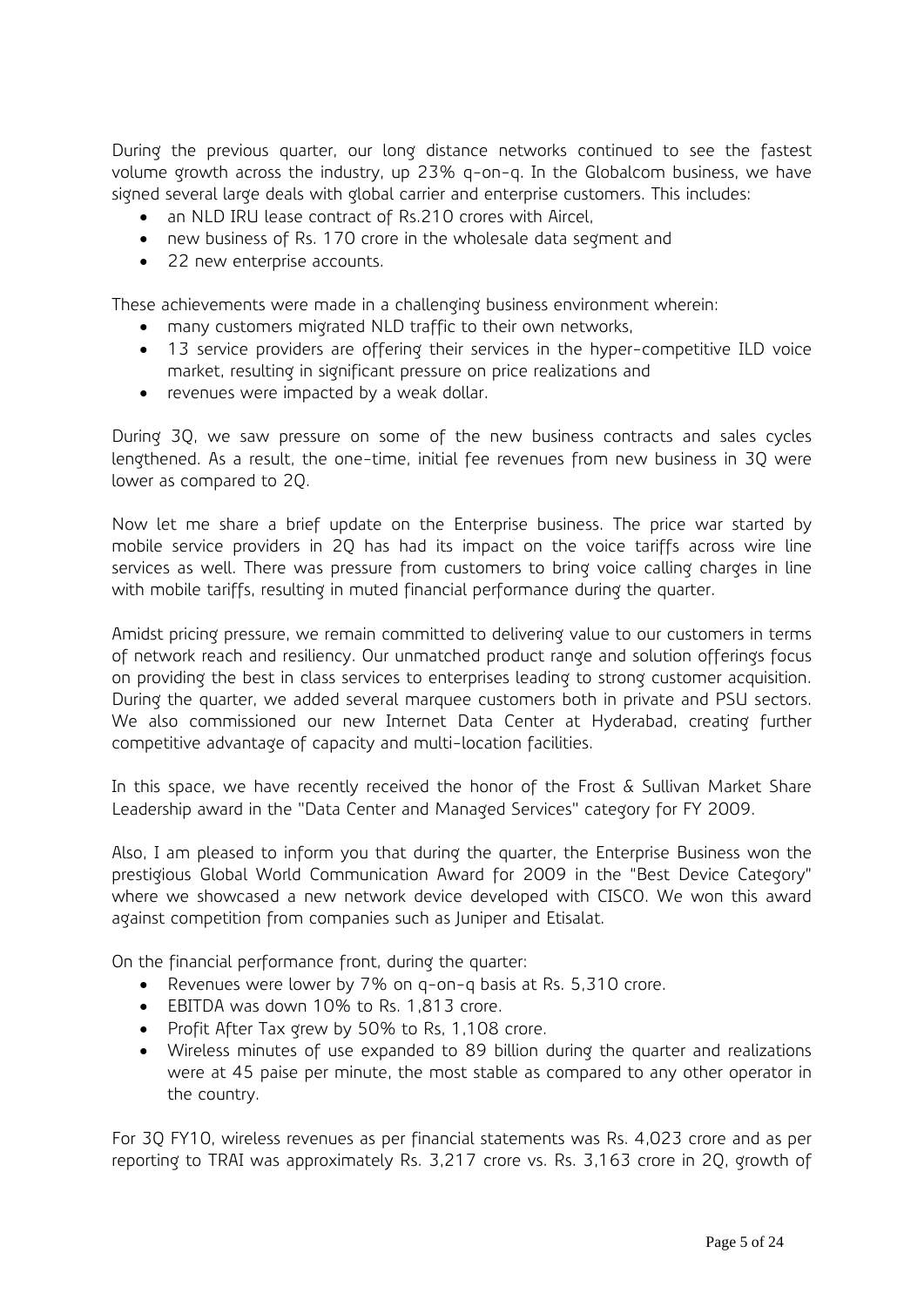During the previous quarter, our long distance networks continued to see the fastest volume growth across the industry, up 23% q-on-q. In the Globalcom business, we have signed several large deals with global carrier and enterprise customers. This includes:

- an NLD IRU lease contract of Rs.210 crores with Aircel,
- new business of Rs. 170 crore in the wholesale data segment and
- 22 new enterprise accounts.

These achievements were made in a challenging business environment wherein:

- many customers migrated NLD traffic to their own networks,
- 13 service providers are offering their services in the hyper-competitive ILD voice market, resulting in significant pressure on price realizations and
- revenues were impacted by a weak dollar.

During 3Q, we saw pressure on some of the new business contracts and sales cycles lengthened. As a result, the one-time, initial fee revenues from new business in 3Q were lower as compared to 2Q.

Now let me share a brief update on the Enterprise business. The price war started by mobile service providers in 2Q has had its impact on the voice tariffs across wire line services as well. There was pressure from customers to bring voice calling charges in line with mobile tariffs, resulting in muted financial performance during the quarter.

Amidst pricing pressure, we remain committed to delivering value to our customers in terms of network reach and resiliency. Our unmatched product range and solution offerings focus on providing the best in class services to enterprises leading to strong customer acquisition. During the quarter, we added several marquee customers both in private and PSU sectors. We also commissioned our new Internet Data Center at Hyderabad, creating further competitive advantage of capacity and multi-location facilities.

In this space, we have recently received the honor of the Frost & Sullivan Market Share Leadership award in the "Data Center and Managed Services" category for FY 2009.

Also, I am pleased to inform you that during the quarter, the Enterprise Business won the prestigious Global World Communication Award for 2009 in the "Best Device Category" where we showcased a new network device developed with CISCO. We won this award against competition from companies such as Juniper and Etisalat.

On the financial performance front, during the quarter:

- Revenues were lower by 7% on q-on-q basis at Rs. 5,310 crore.
- EBITDA was down 10% to Rs. 1,813 crore.
- Profit After Tax grew by 50% to Rs, 1,108 crore.
- Wireless minutes of use expanded to 89 billion during the quarter and realizations were at 45 paise per minute, the most stable as compared to any other operator in the country.

For 3Q FY10, wireless revenues as per financial statements was Rs. 4,023 crore and as per reporting to TRAI was approximately Rs. 3,217 crore vs. Rs. 3,163 crore in 2Q, growth of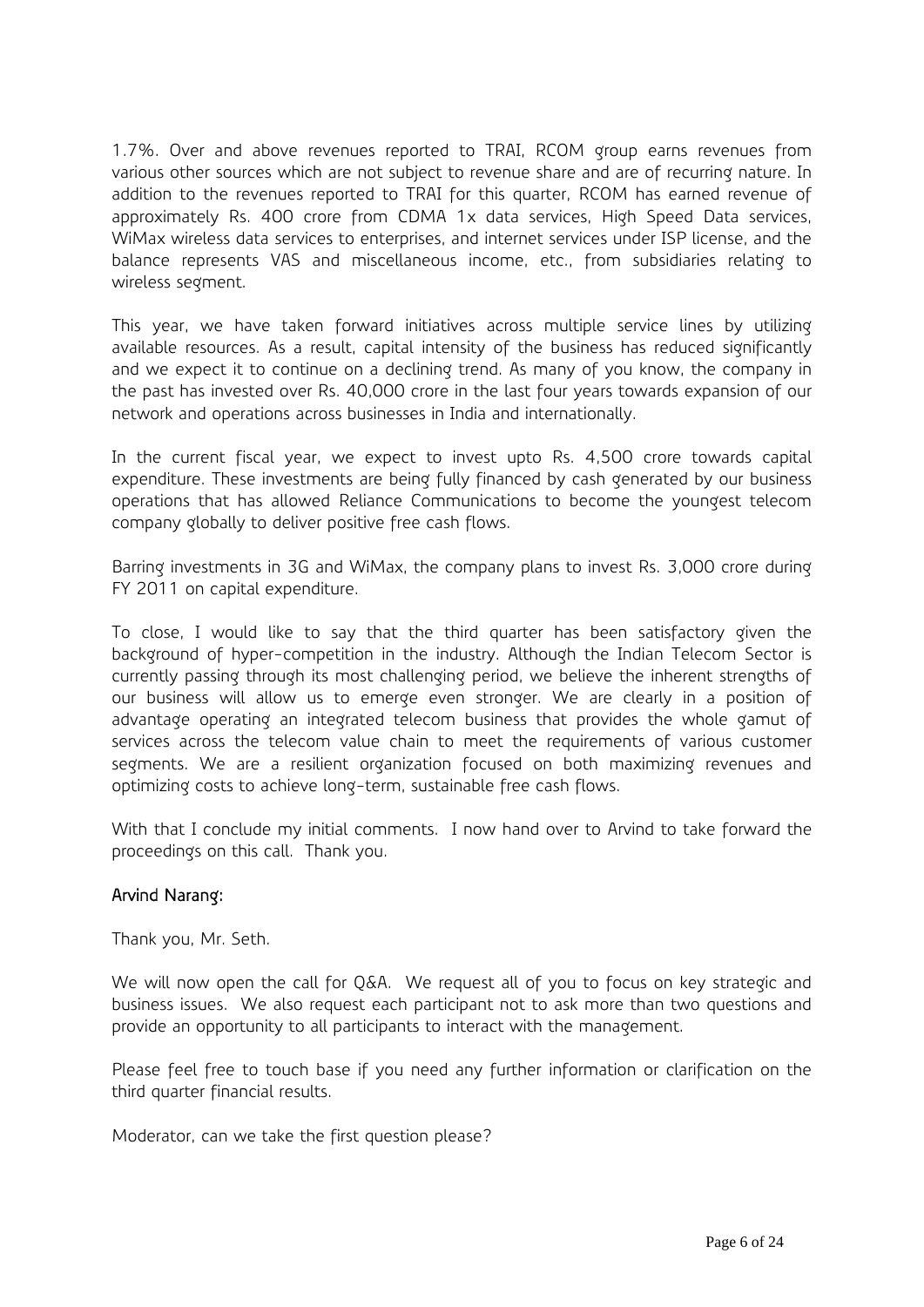1.7%. Over and above revenues reported to TRAI, RCOM group earns revenues from various other sources which are not subject to revenue share and are of recurring nature. In addition to the revenues reported to TRAI for this quarter, RCOM has earned revenue of approximately Rs. 400 crore from CDMA 1x data services, High Speed Data services, WiMax wireless data services to enterprises, and internet services under ISP license, and the balance represents VAS and miscellaneous income, etc., from subsidiaries relating to wireless segment.

This year, we have taken forward initiatives across multiple service lines by utilizing available resources. As a result, capital intensity of the business has reduced significantly and we expect it to continue on a declining trend. As many of you know, the company in the past has invested over Rs. 40,000 crore in the last four years towards expansion of our network and operations across businesses in India and internationally.

In the current fiscal year, we expect to invest upto Rs. 4,500 crore towards capital expenditure. These investments are being fully financed by cash generated by our business operations that has allowed Reliance Communications to become the youngest telecom company globally to deliver positive free cash flows.

Barring investments in 3G and WiMax, the company plans to invest Rs. 3,000 crore during FY 2011 on capital expenditure.

To close, I would like to say that the third quarter has been satisfactory given the background of hyper-competition in the industry. Although the Indian Telecom Sector is currently passing through its most challenging period, we believe the inherent strengths of our business will allow us to emerge even stronger. We are clearly in a position of advantage operating an integrated telecom business that provides the whole gamut of services across the telecom value chain to meet the requirements of various customer segments. We are a resilient organization focused on both maximizing revenues and optimizing costs to achieve long-term, sustainable free cash flows.

With that I conclude my initial comments. I now hand over to Arvind to take forward the proceedings on this call. Thank you.

### Arvind Narang:

Thank you, Mr. Seth.

We will now open the call for Q&A. We request all of you to focus on key strategic and business issues. We also request each participant not to ask more than two questions and provide an opportunity to all participants to interact with the management.

Please feel free to touch base if you need any further information or clarification on the third quarter financial results.

Moderator, can we take the first question please?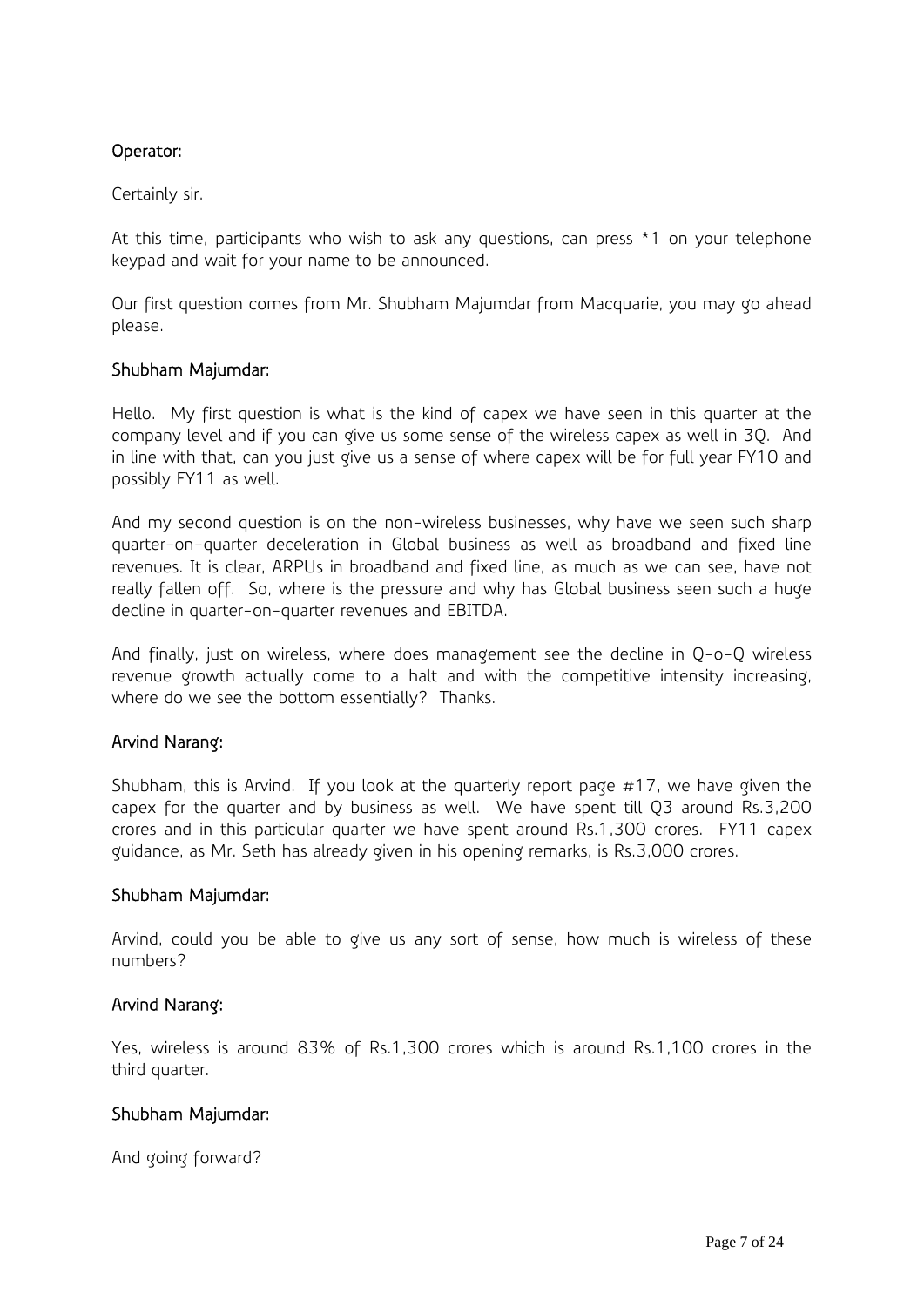# Operator:

### Certainly sir.

At this time, participants who wish to ask any questions, can press \*1 on your telephone keypad and wait for your name to be announced.

Our first question comes from Mr. Shubham Majumdar from Macquarie, you may go ahead please.

### Shubham Majumdar:

Hello. My first question is what is the kind of capex we have seen in this quarter at the company level and if you can give us some sense of the wireless capex as well in 3Q. And in line with that, can you just give us a sense of where capex will be for full year FY10 and possibly FY11 as well.

And my second question is on the non-wireless businesses, why have we seen such sharp quarter-on-quarter deceleration in Global business as well as broadband and fixed line revenues. It is clear, ARPUs in broadband and fixed line, as much as we can see, have not really fallen off. So, where is the pressure and why has Global business seen such a huge decline in quarter-on-quarter revenues and EBITDA.

And finally, just on wireless, where does management see the decline in Q-o-Q wireless revenue growth actually come to a halt and with the competitive intensity increasing, where do we see the bottom essentially? Thanks.

### Arvind Narang:

Shubham, this is Arvind. If you look at the quarterly report page #17, we have given the capex for the quarter and by business as well. We have spent till Q3 around Rs.3,200 crores and in this particular quarter we have spent around Rs.1,300 crores. FY11 capex guidance, as Mr. Seth has already given in his opening remarks, is Rs.3,000 crores.

### Shubham Majumdar:

Arvind, could you be able to give us any sort of sense, how much is wireless of these numbers?

### Arvind Narang:

Yes, wireless is around 83% of Rs.1,300 crores which is around Rs.1,100 crores in the third quarter.

### Shubham Majumdar:

And going forward?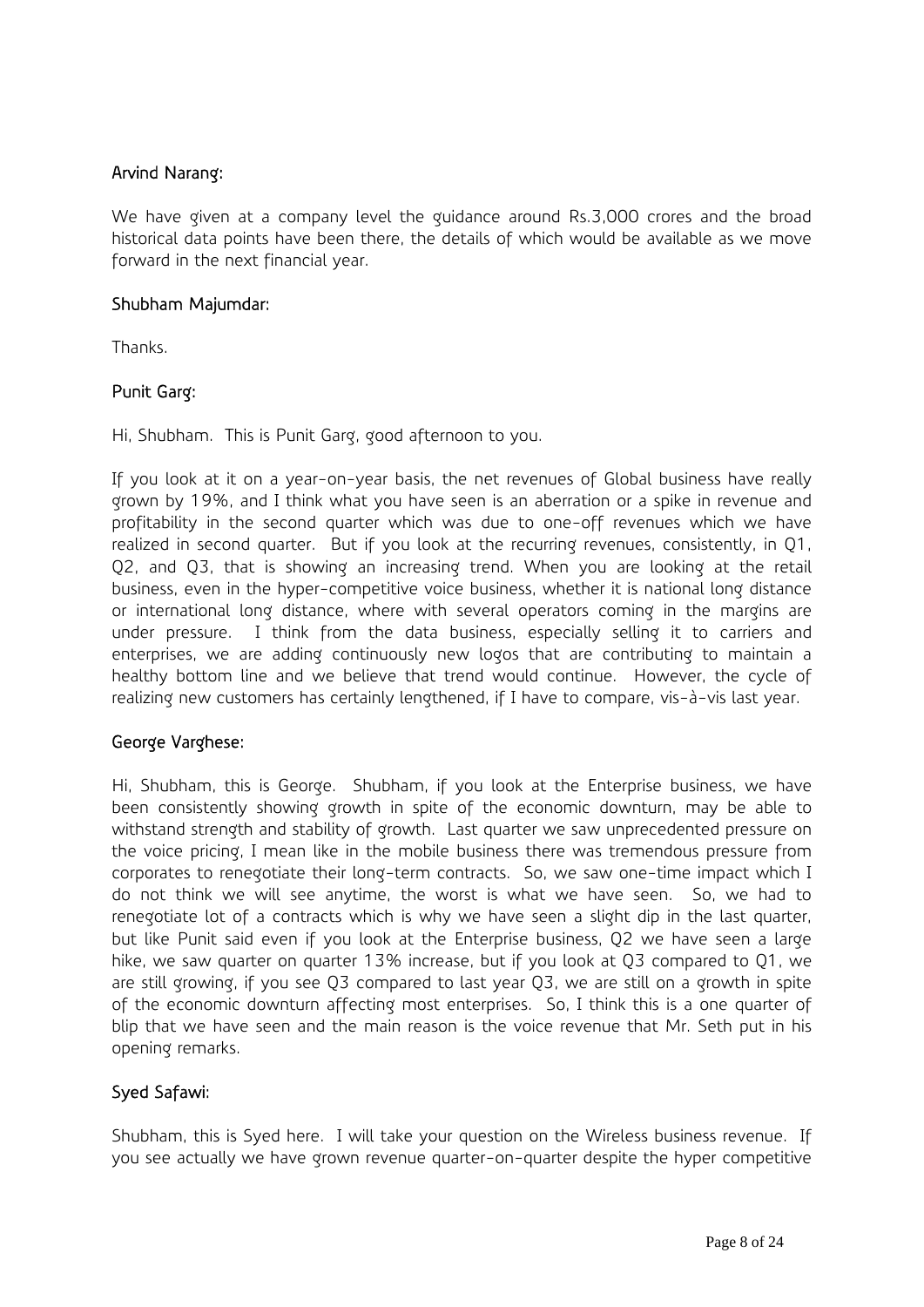### Arvind Narang:

We have given at a company level the guidance around Rs.3,000 crores and the broad historical data points have been there, the details of which would be available as we move forward in the next financial year.

### Shubham Majumdar:

Thanks.

# Punit Garg:

Hi, Shubham. This is Punit Garg, good afternoon to you.

If you look at it on a year-on-year basis, the net revenues of Global business have really grown by 19%, and I think what you have seen is an aberration or a spike in revenue and profitability in the second quarter which was due to one-off revenues which we have realized in second quarter. But if you look at the recurring revenues, consistently, in Q1, Q2, and Q3, that is showing an increasing trend. When you are looking at the retail business, even in the hyper-competitive voice business, whether it is national long distance or international long distance, where with several operators coming in the margins are under pressure. I think from the data business, especially selling it to carriers and enterprises, we are adding continuously new logos that are contributing to maintain a healthy bottom line and we believe that trend would continue. However, the cycle of realizing new customers has certainly lengthened, if I have to compare, vis-à-vis last year.

# George Varghese:

Hi, Shubham, this is George. Shubham, if you look at the Enterprise business, we have been consistently showing growth in spite of the economic downturn, may be able to withstand strength and stability of growth. Last quarter we saw unprecedented pressure on the voice pricing, I mean like in the mobile business there was tremendous pressure from corporates to renegotiate their long-term contracts. So, we saw one-time impact which I do not think we will see anytime, the worst is what we have seen. So, we had to renegotiate lot of a contracts which is why we have seen a slight dip in the last quarter, but like Punit said even if you look at the Enterprise business, Q2 we have seen a large hike, we saw quarter on quarter 13% increase, but if you look at Q3 compared to Q1, we are still growing, if you see Q3 compared to last year Q3, we are still on a growth in spite of the economic downturn affecting most enterprises. So, I think this is a one quarter of blip that we have seen and the main reason is the voice revenue that Mr. Seth put in his opening remarks.

# Syed Safawi:

Shubham, this is Syed here. I will take your question on the Wireless business revenue. If you see actually we have grown revenue quarter-on-quarter despite the hyper competitive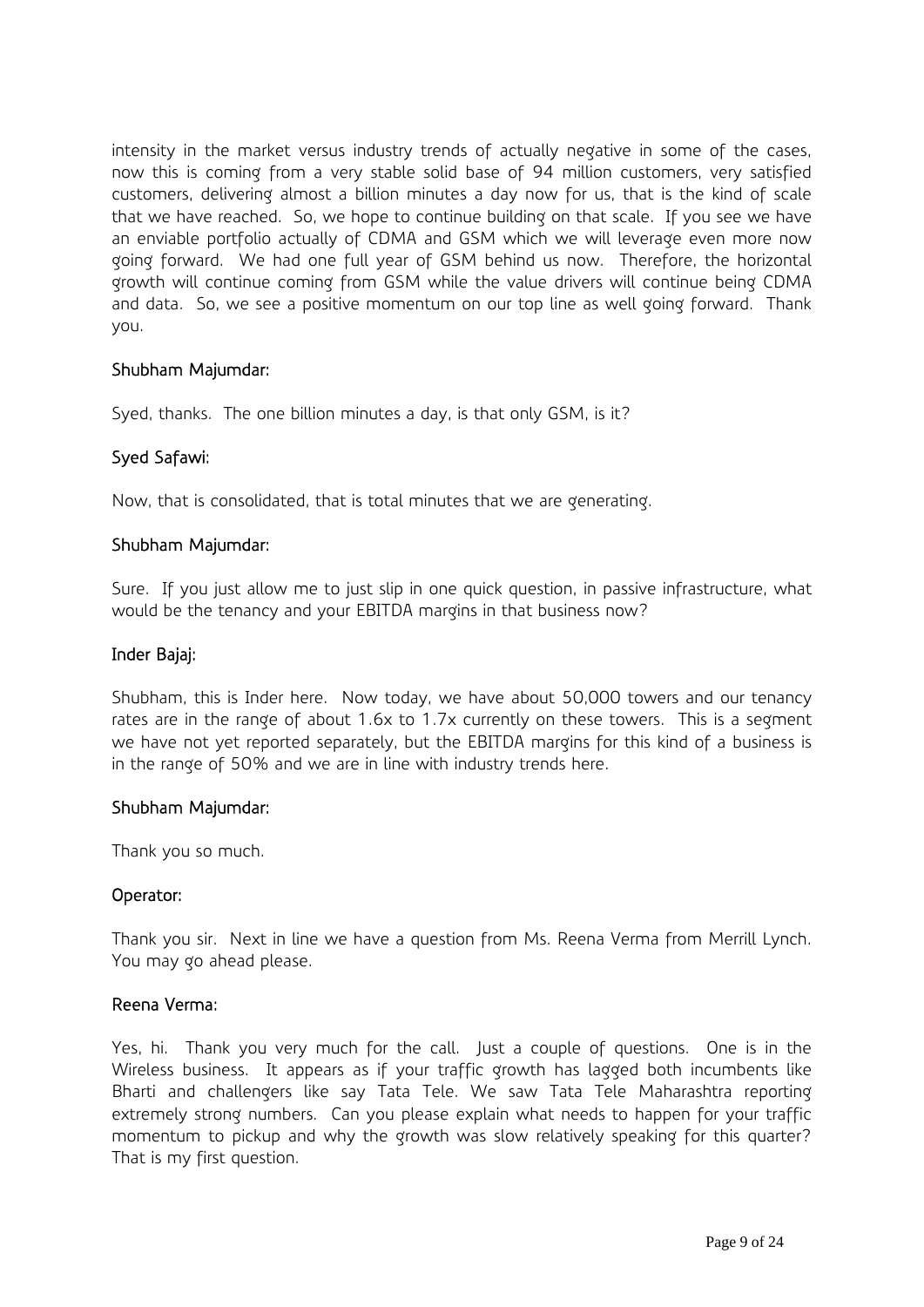intensity in the market versus industry trends of actually negative in some of the cases, now this is coming from a very stable solid base of 94 million customers, very satisfied customers, delivering almost a billion minutes a day now for us, that is the kind of scale that we have reached. So, we hope to continue building on that scale. If you see we have an enviable portfolio actually of CDMA and GSM which we will leverage even more now going forward. We had one full year of GSM behind us now. Therefore, the horizontal growth will continue coming from GSM while the value drivers will continue being CDMA and data. So, we see a positive momentum on our top line as well going forward. Thank you.

### Shubham Majumdar:

Syed, thanks. The one billion minutes a day, is that only GSM, is it?

### Syed Safawi:

Now, that is consolidated, that is total minutes that we are generating.

#### Shubham Majumdar:

Sure. If you just allow me to just slip in one quick question, in passive infrastructure, what would be the tenancy and your EBITDA margins in that business now?

#### Inder Bajaj:

Shubham, this is Inder here. Now today, we have about 50,000 towers and our tenancy rates are in the range of about 1.6x to 1.7x currently on these towers. This is a segment we have not yet reported separately, but the EBITDA margins for this kind of a business is in the range of 50% and we are in line with industry trends here.

#### Shubham Majumdar:

Thank you so much.

### Operator:

Thank you sir. Next in line we have a question from Ms. Reena Verma from Merrill Lynch. You may go ahead please.

#### Reena Verma:

Yes, hi. Thank you very much for the call. Just a couple of questions. One is in the Wireless business. It appears as if your traffic growth has lagged both incumbents like Bharti and challengers like say Tata Tele. We saw Tata Tele Maharashtra reporting extremely strong numbers. Can you please explain what needs to happen for your traffic momentum to pickup and why the growth was slow relatively speaking for this quarter? That is my first question.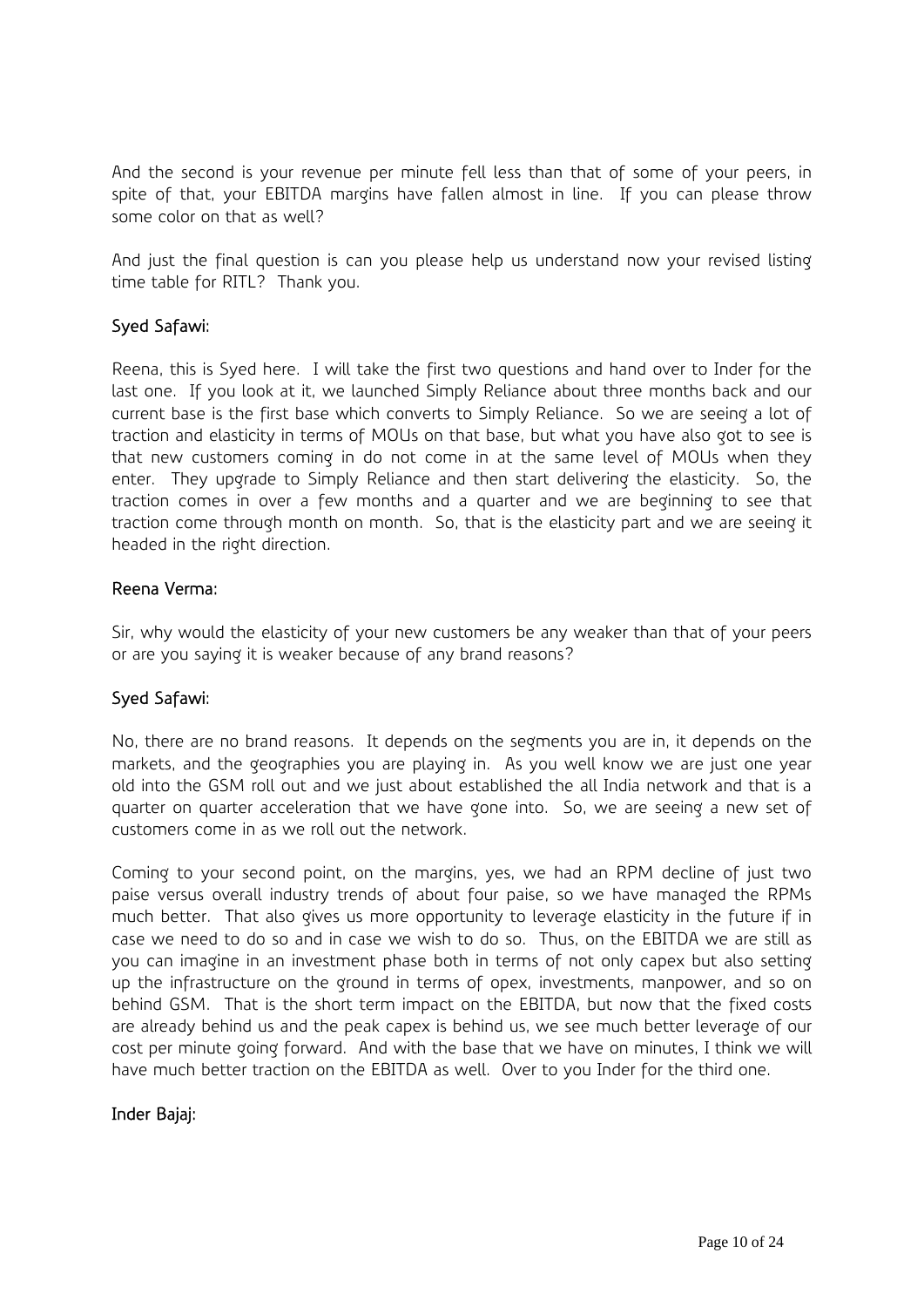And the second is your revenue per minute fell less than that of some of your peers, in spite of that, your EBITDA margins have fallen almost in line. If you can please throw some color on that as well?

And just the final question is can you please help us understand now your revised listing time table for RITL? Thank you.

# Syed Safawi:

Reena, this is Syed here. I will take the first two questions and hand over to Inder for the last one. If you look at it, we launched Simply Reliance about three months back and our current base is the first base which converts to Simply Reliance. So we are seeing a lot of traction and elasticity in terms of MOUs on that base, but what you have also got to see is that new customers coming in do not come in at the same level of MOUs when they enter. They upgrade to Simply Reliance and then start delivering the elasticity. So, the traction comes in over a few months and a quarter and we are beginning to see that traction come through month on month. So, that is the elasticity part and we are seeing it headed in the right direction.

### Reena Verma:

Sir, why would the elasticity of your new customers be any weaker than that of your peers or are you saying it is weaker because of any brand reasons?

# Syed Safawi:

No, there are no brand reasons. It depends on the segments you are in, it depends on the markets, and the geographies you are playing in. As you well know we are just one year old into the GSM roll out and we just about established the all India network and that is a quarter on quarter acceleration that we have gone into. So, we are seeing a new set of customers come in as we roll out the network.

Coming to your second point, on the margins, yes, we had an RPM decline of just two paise versus overall industry trends of about four paise, so we have managed the RPMs much better. That also gives us more opportunity to leverage elasticity in the future if in case we need to do so and in case we wish to do so. Thus, on the EBITDA we are still as you can imagine in an investment phase both in terms of not only capex but also setting up the infrastructure on the ground in terms of opex, investments, manpower, and so on behind GSM. That is the short term impact on the EBITDA, but now that the fixed costs are already behind us and the peak capex is behind us, we see much better leverage of our cost per minute going forward. And with the base that we have on minutes, I think we will have much better traction on the EBITDA as well. Over to you Inder for the third one.

# Inder Bajaj: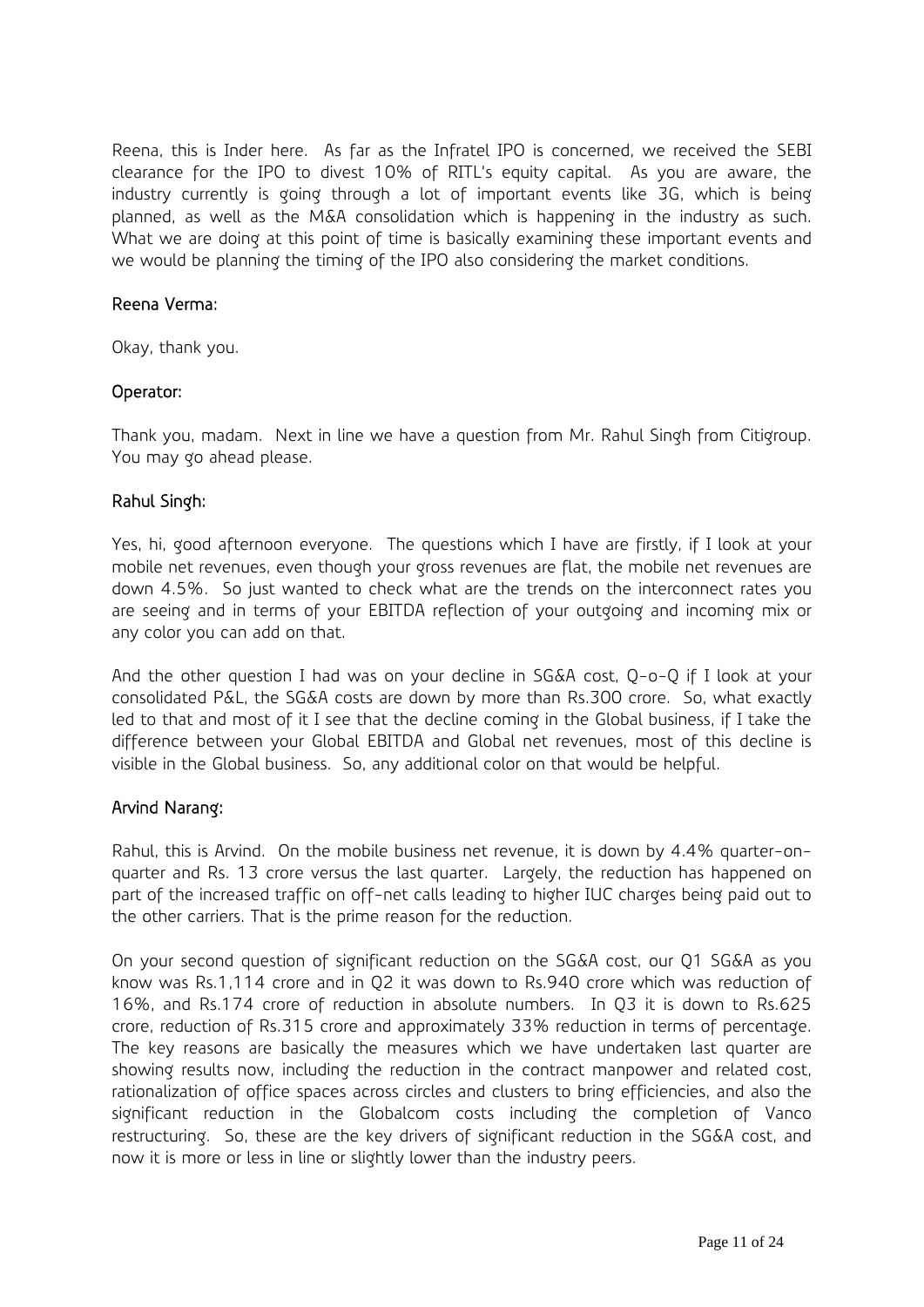Reena, this is Inder here. As far as the Infratel IPO is concerned, we received the SEBI clearance for the IPO to divest 10% of RITL's equity capital. As you are aware, the industry currently is going through a lot of important events like 3G, which is being planned, as well as the M&A consolidation which is happening in the industry as such. What we are doing at this point of time is basically examining these important events and we would be planning the timing of the IPO also considering the market conditions.

### Reena Verma:

Okay, thank you.

# Operator:

Thank you, madam. Next in line we have a question from Mr. Rahul Singh from Citigroup. You may go ahead please.

### Rahul Singh:

Yes, hi, good afternoon everyone. The questions which I have are firstly, if I look at your mobile net revenues, even though your gross revenues are flat, the mobile net revenues are down 4.5%. So just wanted to check what are the trends on the interconnect rates you are seeing and in terms of your EBITDA reflection of your outgoing and incoming mix or any color you can add on that.

And the other question I had was on your decline in SG&A cost, Q-o-Q if I look at your consolidated P&L, the SG&A costs are down by more than Rs.300 crore. So, what exactly led to that and most of it I see that the decline coming in the Global business, if I take the difference between your Global EBITDA and Global net revenues, most of this decline is visible in the Global business. So, any additional color on that would be helpful.

### Arvind Narang:

Rahul, this is Arvind. On the mobile business net revenue, it is down by 4.4% quarter-onquarter and Rs. 13 crore versus the last quarter. Largely, the reduction has happened on part of the increased traffic on off-net calls leading to higher IUC charges being paid out to the other carriers. That is the prime reason for the reduction.

On your second question of significant reduction on the SG&A cost, our Q1 SG&A as you know was Rs.1,114 crore and in Q2 it was down to Rs.940 crore which was reduction of 16%, and Rs.174 crore of reduction in absolute numbers. In Q3 it is down to Rs.625 crore, reduction of Rs.315 crore and approximately 33% reduction in terms of percentage. The key reasons are basically the measures which we have undertaken last quarter are showing results now, including the reduction in the contract manpower and related cost, rationalization of office spaces across circles and clusters to bring efficiencies, and also the significant reduction in the Globalcom costs including the completion of Vanco restructuring. So, these are the key drivers of significant reduction in the SG&A cost, and now it is more or less in line or slightly lower than the industry peers.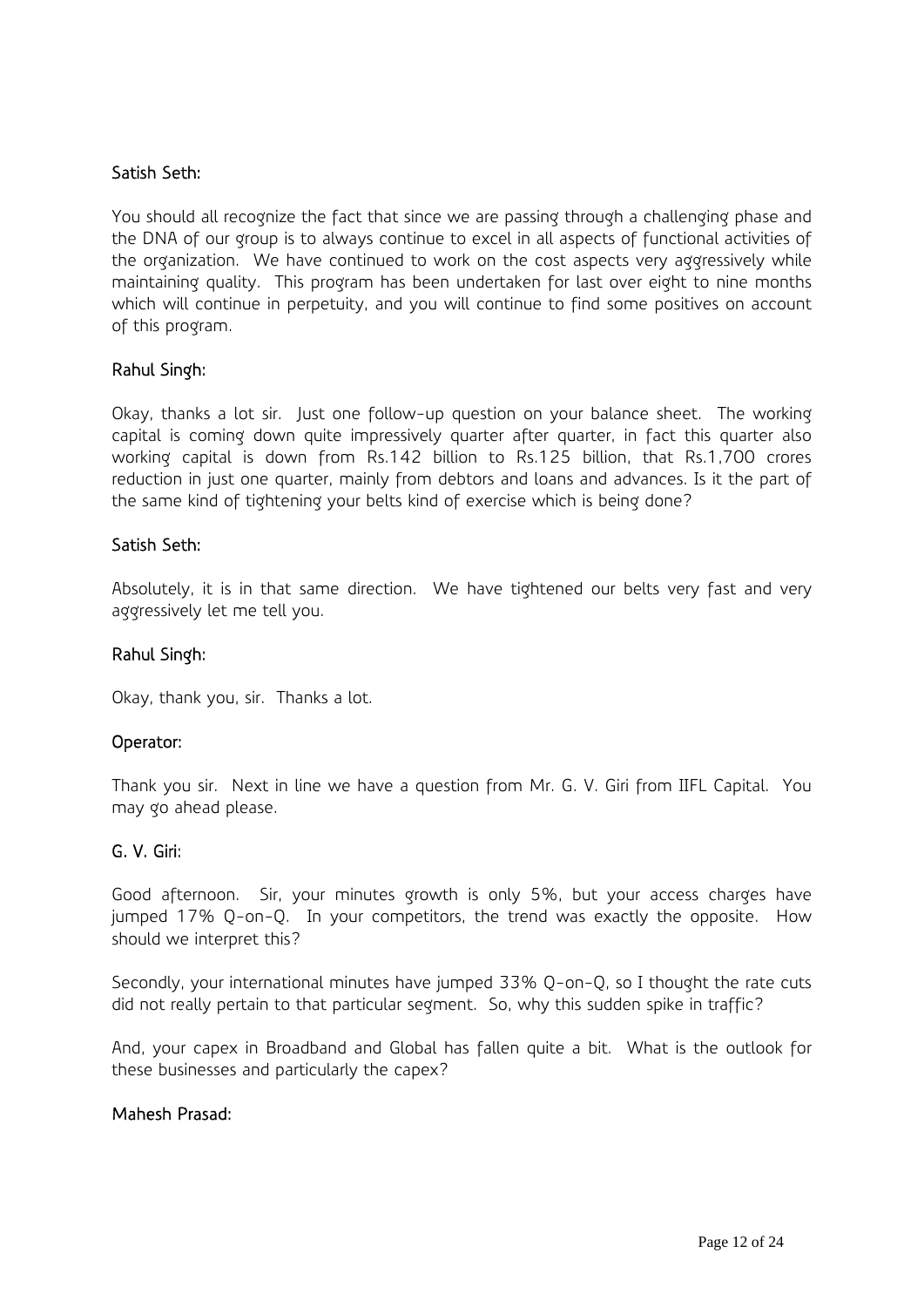# Satish Seth:

You should all recognize the fact that since we are passing through a challenging phase and the DNA of our group is to always continue to excel in all aspects of functional activities of the organization. We have continued to work on the cost aspects very aggressively while maintaining quality. This program has been undertaken for last over eight to nine months which will continue in perpetuity, and you will continue to find some positives on account of this program.

### Rahul Singh:

Okay, thanks a lot sir. Just one follow-up question on your balance sheet. The working capital is coming down quite impressively quarter after quarter, in fact this quarter also working capital is down from Rs.142 billion to Rs.125 billion, that Rs.1,700 crores reduction in just one quarter, mainly from debtors and loans and advances. Is it the part of the same kind of tightening your belts kind of exercise which is being done?

### Satish Seth:

Absolutely, it is in that same direction. We have tightened our belts very fast and very aggressively let me tell you.

### Rahul Singh:

Okay, thank you, sir. Thanks a lot.

### Operator:

Thank you sir. Next in line we have a question from Mr. G. V. Giri from IIFL Capital. You may go ahead please.

#### G. V. Giri:

Good afternoon. Sir, your minutes growth is only 5%, but your access charges have jumped 17% Q-on-Q. In your competitors, the trend was exactly the opposite. How should we interpret this?

Secondly, your international minutes have jumped 33% Q-on-Q, so I thought the rate cuts did not really pertain to that particular segment. So, why this sudden spike in traffic?

And, your capex in Broadband and Global has fallen quite a bit. What is the outlook for these businesses and particularly the capex?

### Mahesh Prasad: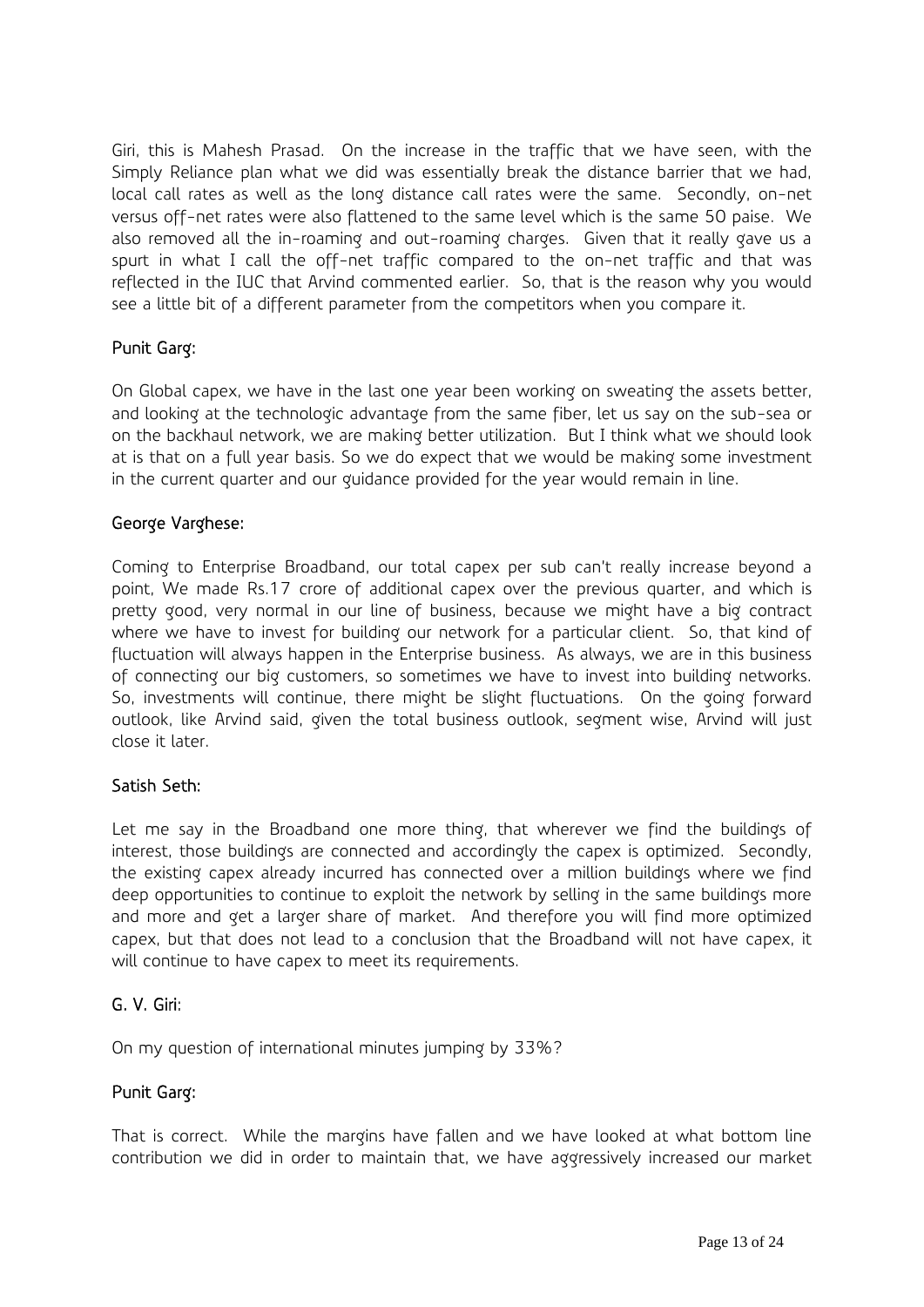Giri, this is Mahesh Prasad. On the increase in the traffic that we have seen, with the Simply Reliance plan what we did was essentially break the distance barrier that we had, local call rates as well as the long distance call rates were the same. Secondly, on-net versus off-net rates were also flattened to the same level which is the same 50 paise. We also removed all the in-roaming and out-roaming charges. Given that it really gave us a spurt in what I call the off-net traffic compared to the on-net traffic and that was reflected in the IUC that Arvind commented earlier. So, that is the reason why you would see a little bit of a different parameter from the competitors when you compare it.

# Punit Garg:

On Global capex, we have in the last one year been working on sweating the assets better, and looking at the technologic advantage from the same fiber, let us say on the sub-sea or on the backhaul network, we are making better utilization. But I think what we should look at is that on a full year basis. So we do expect that we would be making some investment in the current quarter and our guidance provided for the year would remain in line.

# George Varghese:

Coming to Enterprise Broadband, our total capex per sub can't really increase beyond a point, We made Rs.17 crore of additional capex over the previous quarter, and which is pretty good, very normal in our line of business, because we might have a big contract where we have to invest for building our network for a particular client. So, that kind of fluctuation will always happen in the Enterprise business. As always, we are in this business of connecting our big customers, so sometimes we have to invest into building networks. So, investments will continue, there might be slight fluctuations. On the going forward outlook, like Arvind said, given the total business outlook, segment wise, Arvind will just close it later.

# Satish Seth:

Let me say in the Broadband one more thing, that wherever we find the buildings of interest, those buildings are connected and accordingly the capex is optimized. Secondly, the existing capex already incurred has connected over a million buildings where we find deep opportunities to continue to exploit the network by selling in the same buildings more and more and get a larger share of market. And therefore you will find more optimized capex, but that does not lead to a conclusion that the Broadband will not have capex, it will continue to have capex to meet its requirements.

# G. V. Giri:

On my question of international minutes jumping by 33%?

# Punit Garg:

That is correct. While the margins have fallen and we have looked at what bottom line contribution we did in order to maintain that, we have aggressively increased our market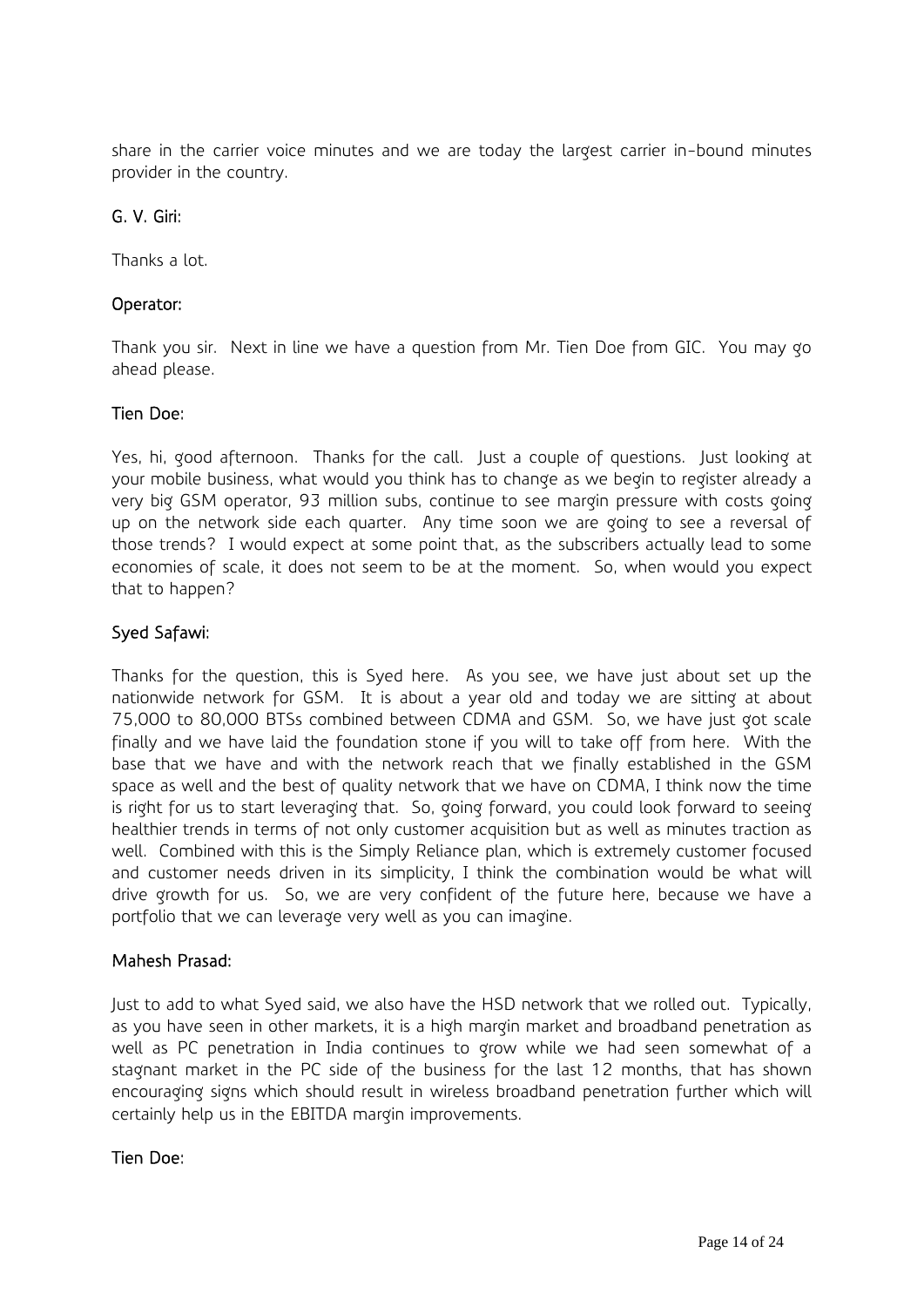share in the carrier voice minutes and we are today the largest carrier in-bound minutes provider in the country.

# G. V. Giri:

Thanks a lot.

# Operator:

Thank you sir. Next in line we have a question from Mr. Tien Doe from GIC. You may go ahead please.

# Tien Doe:

Yes, hi, good afternoon. Thanks for the call. Just a couple of questions. Just looking at your mobile business, what would you think has to change as we begin to register already a very big GSM operator, 93 million subs, continue to see margin pressure with costs going up on the network side each quarter. Any time soon we are going to see a reversal of those trends? I would expect at some point that, as the subscribers actually lead to some economies of scale, it does not seem to be at the moment. So, when would you expect that to happen?

# Syed Safawi:

Thanks for the question, this is Syed here. As you see, we have just about set up the nationwide network for GSM. It is about a year old and today we are sitting at about 75,000 to 80,000 BTSs combined between CDMA and GSM. So, we have just got scale finally and we have laid the foundation stone if you will to take off from here. With the base that we have and with the network reach that we finally established in the GSM space as well and the best of quality network that we have on CDMA, I think now the time is right for us to start leveraging that. So, going forward, you could look forward to seeing healthier trends in terms of not only customer acquisition but as well as minutes traction as well. Combined with this is the Simply Reliance plan, which is extremely customer focused and customer needs driven in its simplicity, I think the combination would be what will drive growth for us. So, we are very confident of the future here, because we have a portfolio that we can leverage very well as you can imagine.

# Mahesh Prasad:

Just to add to what Syed said, we also have the HSD network that we rolled out. Typically, as you have seen in other markets, it is a high margin market and broadband penetration as well as PC penetration in India continues to grow while we had seen somewhat of a stagnant market in the PC side of the business for the last 12 months, that has shown encouraging signs which should result in wireless broadband penetration further which will certainly help us in the EBITDA margin improvements.

# Tien Doe: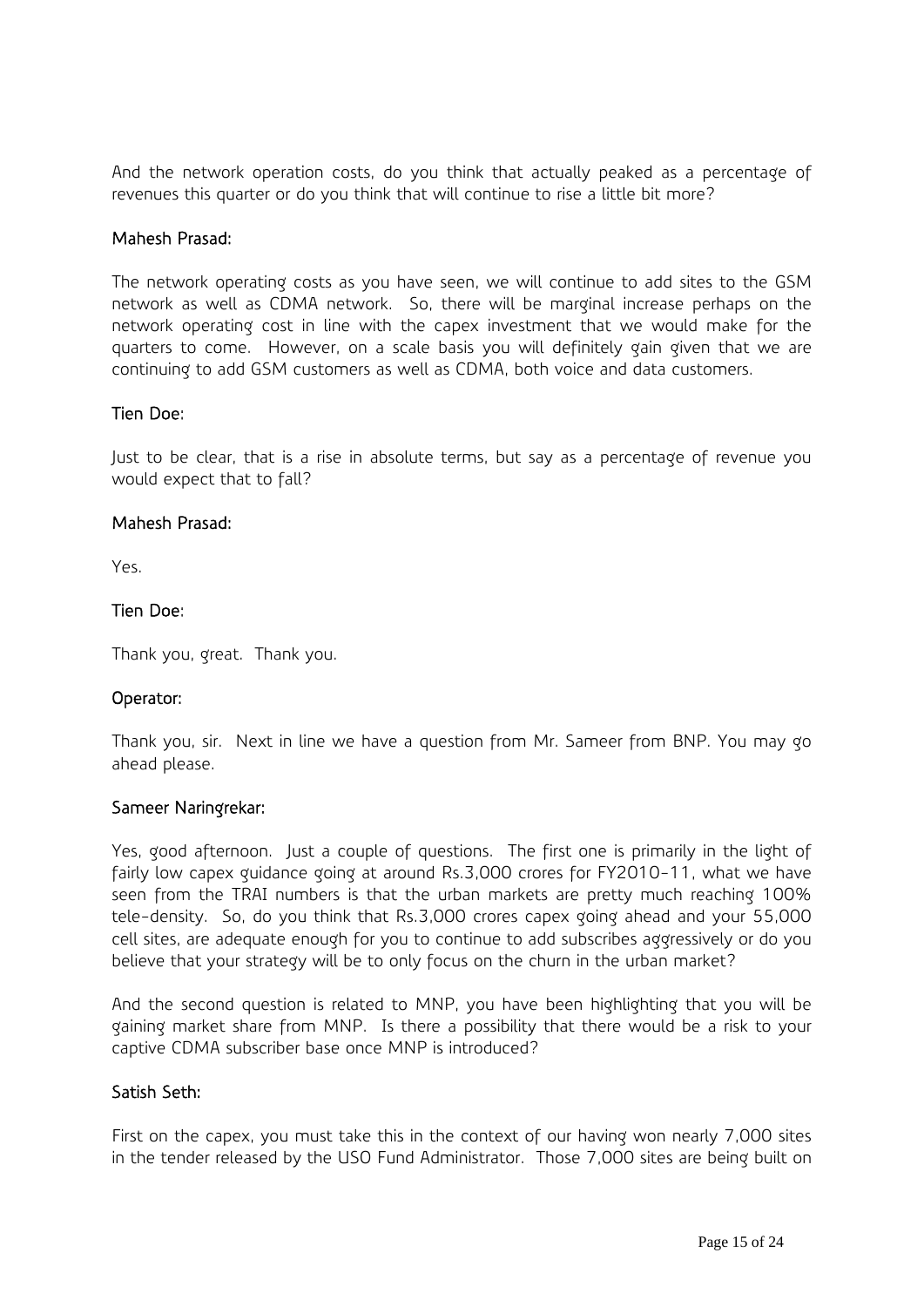And the network operation costs, do you think that actually peaked as a percentage of revenues this quarter or do you think that will continue to rise a little bit more?

#### Mahesh Prasad:

The network operating costs as you have seen, we will continue to add sites to the GSM network as well as CDMA network. So, there will be marginal increase perhaps on the network operating cost in line with the capex investment that we would make for the quarters to come. However, on a scale basis you will definitely gain given that we are continuing to add GSM customers as well as CDMA, both voice and data customers.

#### Tien Doe:

Just to be clear, that is a rise in absolute terms, but say as a percentage of revenue you would expect that to fall?

#### Mahesh Prasad:

Yes.

### Tien Doe:

Thank you, great. Thank you.

### Operator:

Thank you, sir. Next in line we have a question from Mr. Sameer from BNP. You may go ahead please.

### Sameer Naringrekar:

Yes, good afternoon. Just a couple of questions. The first one is primarily in the light of fairly low capex guidance going at around Rs.3,000 crores for FY2010-11, what we have seen from the TRAI numbers is that the urban markets are pretty much reaching 100% tele-density. So, do you think that Rs.3,000 crores capex going ahead and your 55,000 cell sites, are adequate enough for you to continue to add subscribes aggressively or do you believe that your strategy will be to only focus on the churn in the urban market?

And the second question is related to MNP, you have been highlighting that you will be gaining market share from MNP. Is there a possibility that there would be a risk to your captive CDMA subscriber base once MNP is introduced?

### Satish Seth:

First on the capex, you must take this in the context of our having won nearly 7,000 sites in the tender released by the USO Fund Administrator. Those 7,000 sites are being built on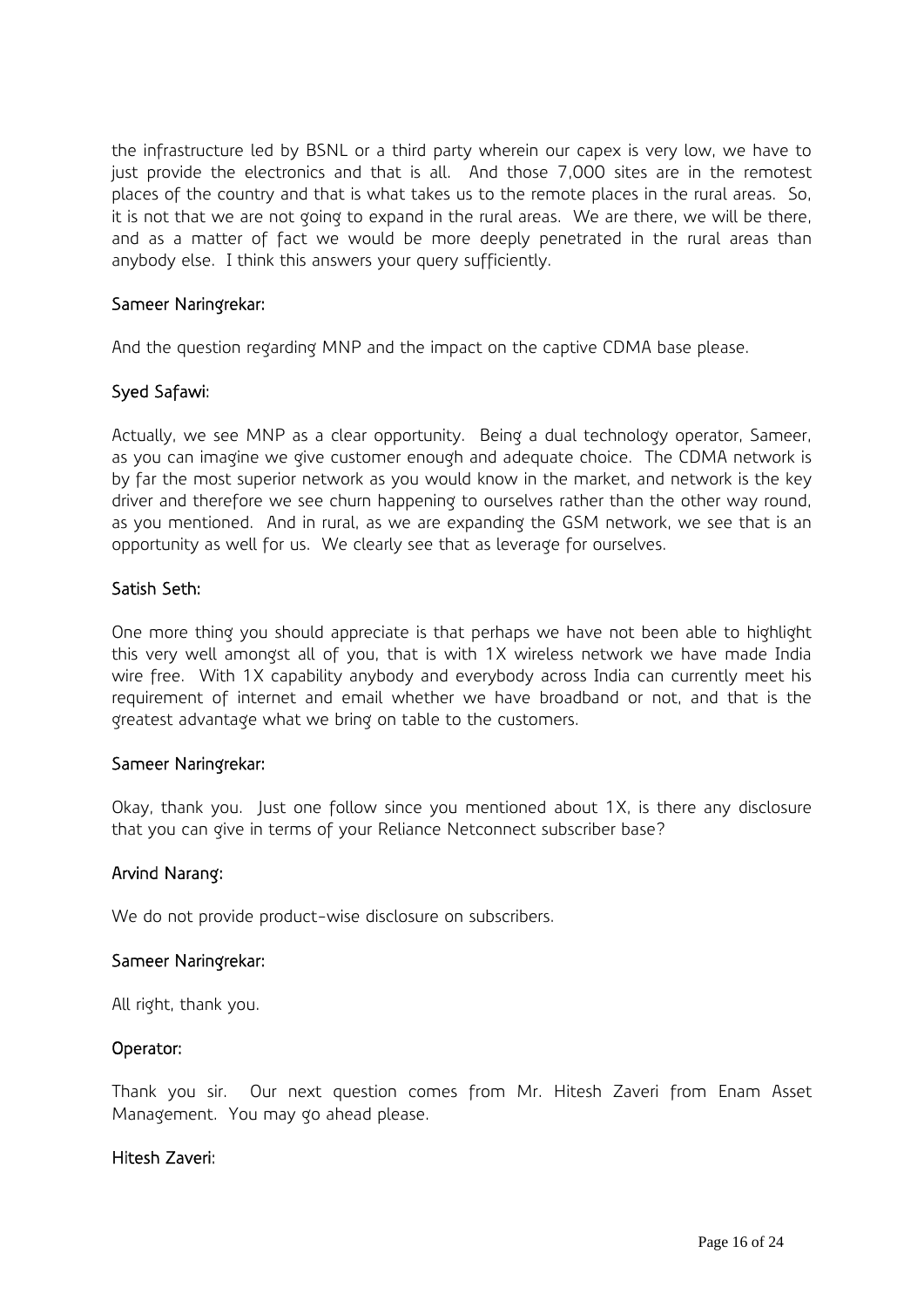the infrastructure led by BSNL or a third party wherein our capex is very low, we have to just provide the electronics and that is all. And those 7,000 sites are in the remotest places of the country and that is what takes us to the remote places in the rural areas. So, it is not that we are not going to expand in the rural areas. We are there, we will be there, and as a matter of fact we would be more deeply penetrated in the rural areas than anybody else. I think this answers your query sufficiently.

### Sameer Naringrekar:

And the question regarding MNP and the impact on the captive CDMA base please.

### Syed Safawi:

Actually, we see MNP as a clear opportunity. Being a dual technology operator, Sameer, as you can imagine we give customer enough and adequate choice. The CDMA network is by far the most superior network as you would know in the market, and network is the key driver and therefore we see churn happening to ourselves rather than the other way round, as you mentioned. And in rural, as we are expanding the GSM network, we see that is an opportunity as well for us. We clearly see that as leverage for ourselves.

### Satish Seth:

One more thing you should appreciate is that perhaps we have not been able to highlight this very well amongst all of you, that is with 1X wireless network we have made India wire free. With 1X capability anybody and everybody across India can currently meet his requirement of internet and email whether we have broadband or not, and that is the greatest advantage what we bring on table to the customers.

### Sameer Naringrekar:

Okay, thank you. Just one follow since you mentioned about 1X, is there any disclosure that you can give in terms of your Reliance Netconnect subscriber base?

### Arvind Narang:

We do not provide product-wise disclosure on subscribers.

### Sameer Naringrekar:

All right, thank you.

### Operator:

Thank you sir. Our next question comes from Mr. Hitesh Zaveri from Enam Asset Management. You may go ahead please.

### Hitesh Zaveri: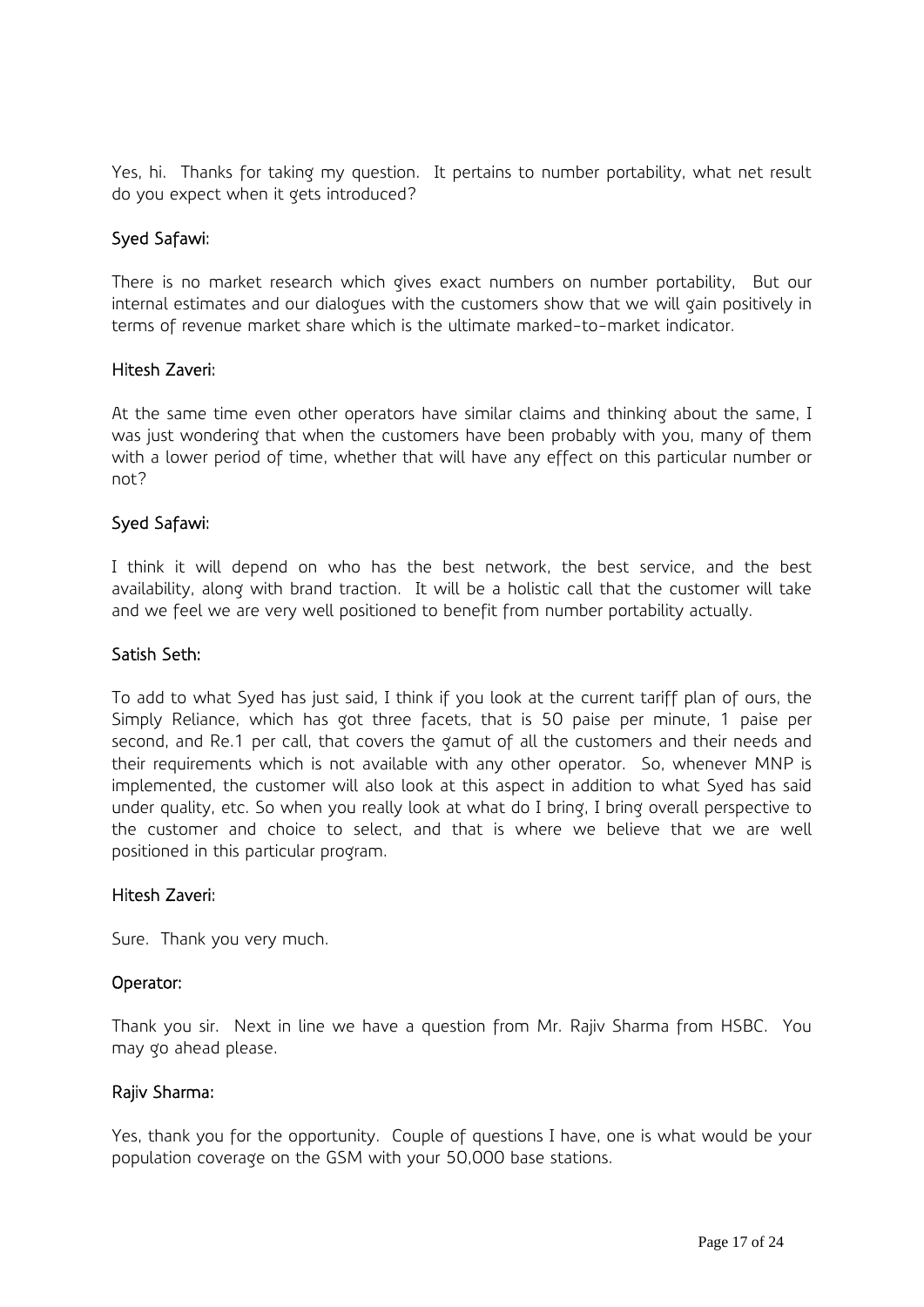Yes, hi. Thanks for taking my question. It pertains to number portability, what net result do you expect when it gets introduced?

### Syed Safawi:

There is no market research which gives exact numbers on number portability, But our internal estimates and our dialogues with the customers show that we will gain positively in terms of revenue market share which is the ultimate marked-to-market indicator.

### Hitesh Zaveri:

At the same time even other operators have similar claims and thinking about the same, I was just wondering that when the customers have been probably with you, many of them with a lower period of time, whether that will have any effect on this particular number or not?

### Syed Safawi:

I think it will depend on who has the best network, the best service, and the best availability, along with brand traction. It will be a holistic call that the customer will take and we feel we are very well positioned to benefit from number portability actually.

### Satish Seth:

To add to what Syed has just said, I think if you look at the current tariff plan of ours, the Simply Reliance, which has got three facets, that is 50 paise per minute, 1 paise per second, and Re.1 per call, that covers the gamut of all the customers and their needs and their requirements which is not available with any other operator. So, whenever MNP is implemented, the customer will also look at this aspect in addition to what Syed has said under quality, etc. So when you really look at what do I bring, I bring overall perspective to the customer and choice to select, and that is where we believe that we are well positioned in this particular program.

#### Hitesh Zaveri:

Sure. Thank you very much.

### Operator:

Thank you sir. Next in line we have a question from Mr. Rajiv Sharma from HSBC. You may go ahead please.

### Rajiv Sharma:

Yes, thank you for the opportunity. Couple of questions I have, one is what would be your population coverage on the GSM with your 50,000 base stations.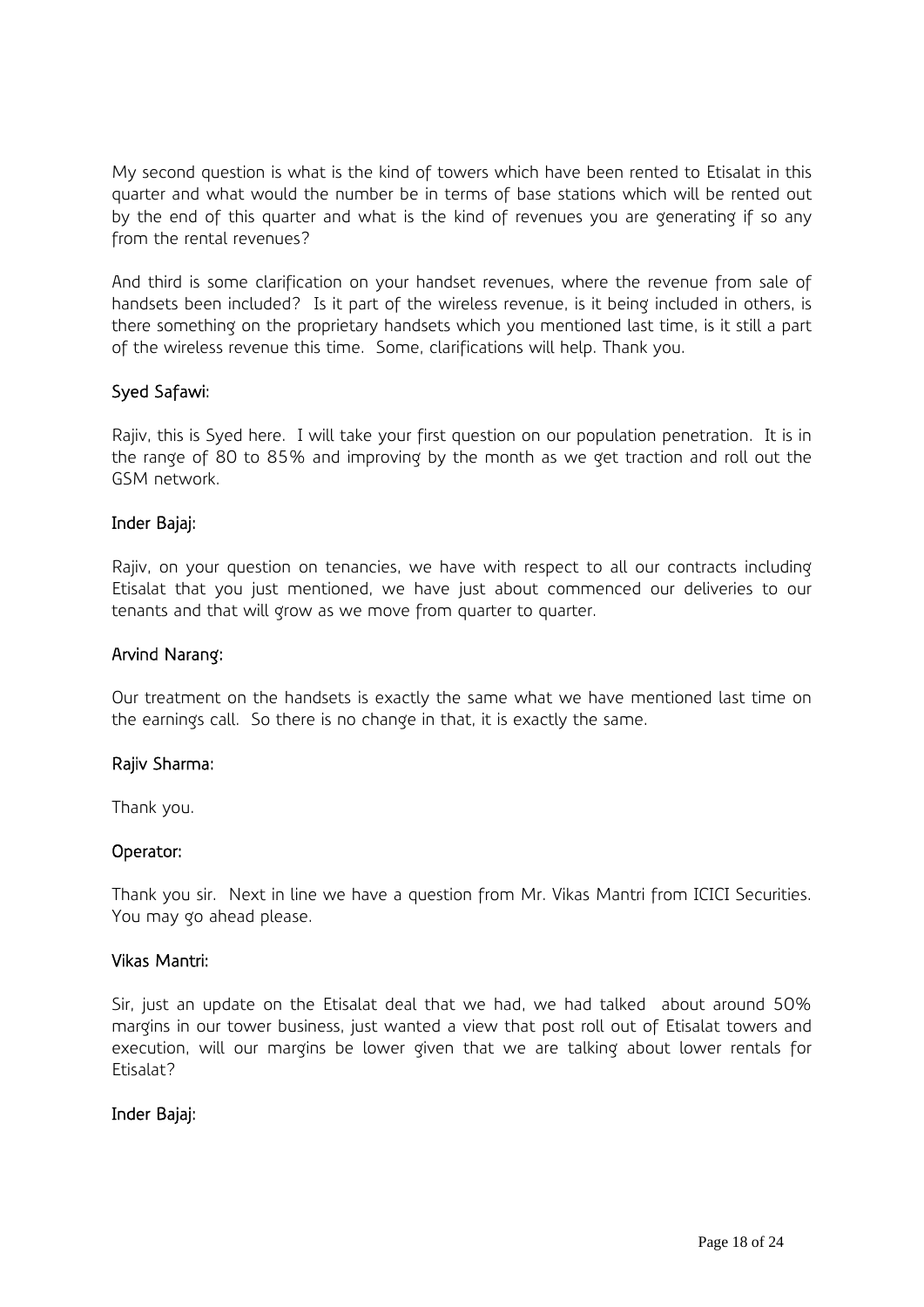My second question is what is the kind of towers which have been rented to Etisalat in this quarter and what would the number be in terms of base stations which will be rented out by the end of this quarter and what is the kind of revenues you are generating if so any from the rental revenues?

And third is some clarification on your handset revenues, where the revenue from sale of handsets been included? Is it part of the wireless revenue, is it being included in others, is there something on the proprietary handsets which you mentioned last time, is it still a part of the wireless revenue this time. Some, clarifications will help. Thank you.

### Syed Safawi:

Rajiv, this is Syed here. I will take your first question on our population penetration. It is in the range of 80 to 85% and improving by the month as we get traction and roll out the GSM network.

### Inder Bajaj:

Rajiv, on your question on tenancies, we have with respect to all our contracts including Etisalat that you just mentioned, we have just about commenced our deliveries to our tenants and that will grow as we move from quarter to quarter.

#### Arvind Narang:

Our treatment on the handsets is exactly the same what we have mentioned last time on the earnings call. So there is no change in that, it is exactly the same.

### Rajiv Sharma:

Thank you.

### Operator:

Thank you sir. Next in line we have a question from Mr. Vikas Mantri from ICICI Securities. You may go ahead please.

#### Vikas Mantri:

Sir, just an update on the Etisalat deal that we had, we had talked about around 50% margins in our tower business, just wanted a view that post roll out of Etisalat towers and execution, will our margins be lower given that we are talking about lower rentals for Etisalat?

### Inder Bajaj: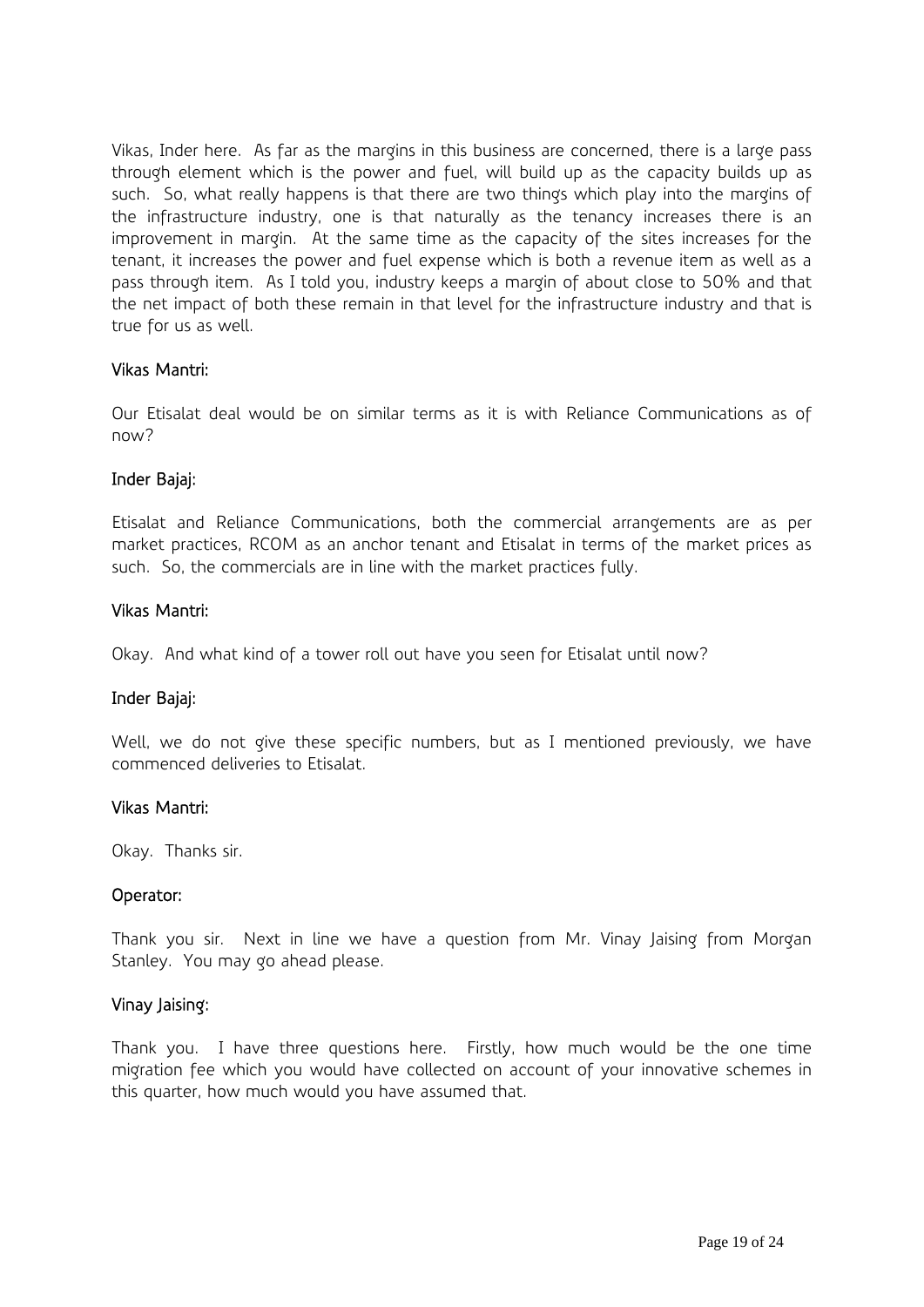Vikas, Inder here. As far as the margins in this business are concerned, there is a large pass through element which is the power and fuel, will build up as the capacity builds up as such. So, what really happens is that there are two things which play into the margins of the infrastructure industry, one is that naturally as the tenancy increases there is an improvement in margin. At the same time as the capacity of the sites increases for the tenant, it increases the power and fuel expense which is both a revenue item as well as a pass through item. As I told you, industry keeps a margin of about close to 50% and that the net impact of both these remain in that level for the infrastructure industry and that is true for us as well.

### Vikas Mantri:

Our Etisalat deal would be on similar terms as it is with Reliance Communications as of now?

### Inder Bajaj:

Etisalat and Reliance Communications, both the commercial arrangements are as per market practices, RCOM as an anchor tenant and Etisalat in terms of the market prices as such. So, the commercials are in line with the market practices fully.

### Vikas Mantri:

Okay. And what kind of a tower roll out have you seen for Etisalat until now?

### Inder Bajaj:

Well, we do not give these specific numbers, but as I mentioned previously, we have commenced deliveries to Etisalat.

#### Vikas Mantri:

Okay. Thanks sir.

### Operator:

Thank you sir. Next in line we have a question from Mr. Vinay Jaising from Morgan Stanley. You may go ahead please.

#### Vinay Jaising:

Thank you. I have three questions here. Firstly, how much would be the one time migration fee which you would have collected on account of your innovative schemes in this quarter, how much would you have assumed that.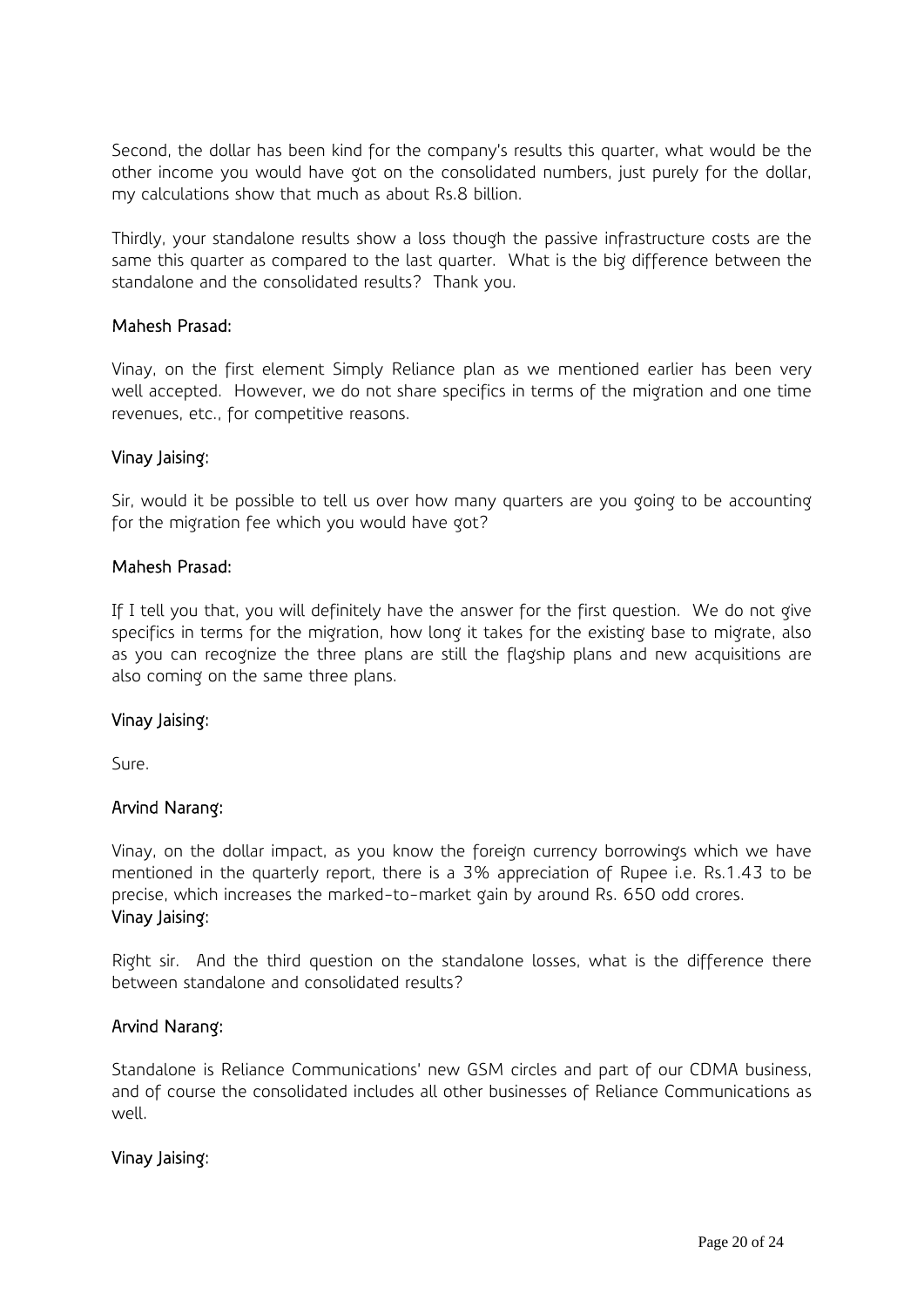Second, the dollar has been kind for the company's results this quarter, what would be the other income you would have got on the consolidated numbers, just purely for the dollar, my calculations show that much as about Rs.8 billion.

Thirdly, your standalone results show a loss though the passive infrastructure costs are the same this quarter as compared to the last quarter. What is the big difference between the standalone and the consolidated results? Thank you.

### Mahesh Prasad:

Vinay, on the first element Simply Reliance plan as we mentioned earlier has been very well accepted. However, we do not share specifics in terms of the migration and one time revenues, etc., for competitive reasons.

### Vinay Jaising:

Sir, would it be possible to tell us over how many quarters are you going to be accounting for the migration fee which you would have got?

### Mahesh Prasad:

If I tell you that, you will definitely have the answer for the first question. We do not give specifics in terms for the migration, how long it takes for the existing base to migrate, also as you can recognize the three plans are still the flagship plans and new acquisitions are also coming on the same three plans.

### Vinay Jaising:

Sure.

# Arvind Narang:

Vinay, on the dollar impact, as you know the foreign currency borrowings which we have mentioned in the quarterly report, there is a 3% appreciation of Rupee i.e. Rs.1.43 to be precise, which increases the marked-to-market gain by around Rs. 650 odd crores. Vinay Jaising:

Right sir. And the third question on the standalone losses, what is the difference there between standalone and consolidated results?

### Arvind Narang:

Standalone is Reliance Communications' new GSM circles and part of our CDMA business, and of course the consolidated includes all other businesses of Reliance Communications as well.

### Vinay Jaising: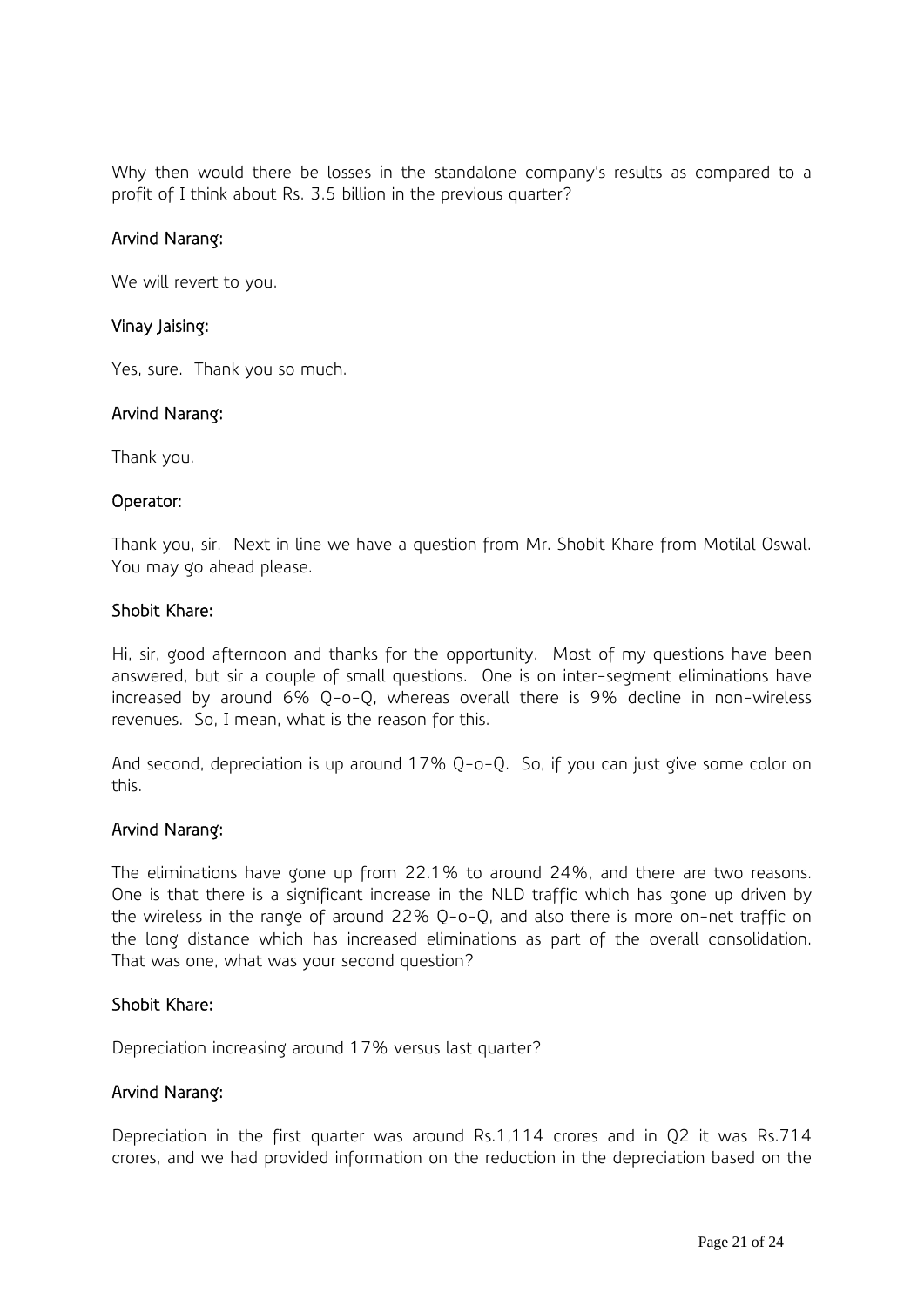Why then would there be losses in the standalone company's results as compared to a profit of I think about Rs. 3.5 billion in the previous quarter?

### Arvind Narang:

We will revert to you.

### Vinay Jaising:

Yes, sure. Thank you so much.

### Arvind Narang:

Thank you.

### Operator:

Thank you, sir. Next in line we have a question from Mr. Shobit Khare from Motilal Oswal. You may go ahead please.

### Shobit Khare:

Hi, sir, good afternoon and thanks for the opportunity. Most of my questions have been answered, but sir a couple of small questions. One is on inter-segment eliminations have increased by around 6% Q-o-Q, whereas overall there is 9% decline in non-wireless revenues. So, I mean, what is the reason for this.

And second, depreciation is up around 17% Q-o-Q. So, if you can just give some color on this.

### Arvind Narang:

The eliminations have gone up from 22.1% to around 24%, and there are two reasons. One is that there is a significant increase in the NLD traffic which has gone up driven by the wireless in the range of around 22% Q-o-Q, and also there is more on-net traffic on the long distance which has increased eliminations as part of the overall consolidation. That was one, what was your second question?

### Shobit Khare:

Depreciation increasing around 17% versus last quarter?

### Arvind Narang:

Depreciation in the first quarter was around Rs.1,114 crores and in Q2 it was Rs.714 crores, and we had provided information on the reduction in the depreciation based on the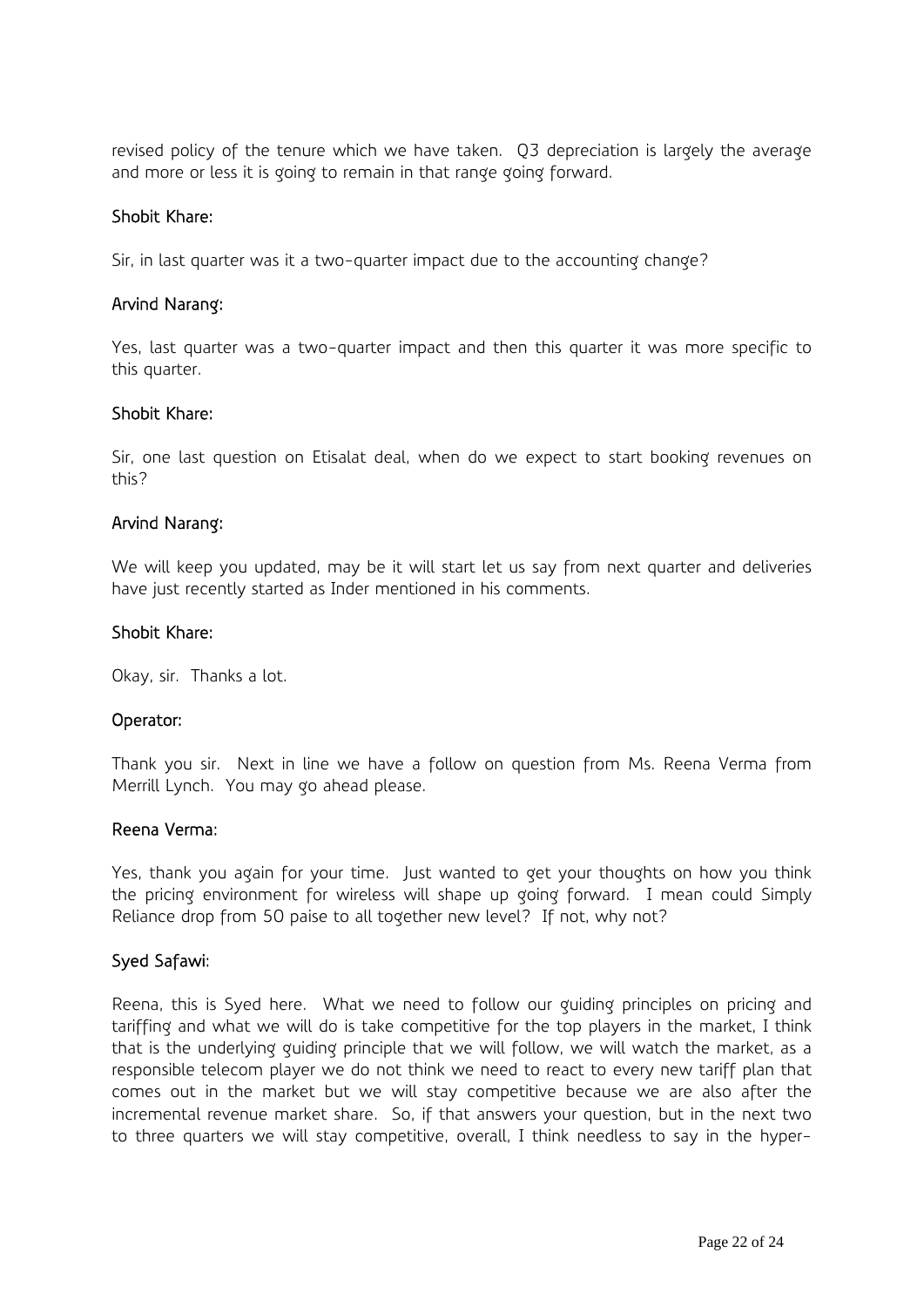revised policy of the tenure which we have taken. Q3 depreciation is largely the average and more or less it is going to remain in that range going forward.

### Shobit Khare:

Sir, in last quarter was it a two-quarter impact due to the accounting change?

### Arvind Narang:

Yes, last quarter was a two-quarter impact and then this quarter it was more specific to this quarter.

### Shobit Khare:

Sir, one last question on Etisalat deal, when do we expect to start booking revenues on this?

### Arvind Narang:

We will keep you updated, may be it will start let us say from next quarter and deliveries have just recently started as Inder mentioned in his comments.

### Shobit Khare:

Okay, sir. Thanks a lot.

### Operator:

Thank you sir. Next in line we have a follow on question from Ms. Reena Verma from Merrill Lynch. You may go ahead please.

#### Reena Verma:

Yes, thank you again for your time. Just wanted to get your thoughts on how you think the pricing environment for wireless will shape up going forward. I mean could Simply Reliance drop from 50 paise to all together new level? If not, why not?

### Syed Safawi:

Reena, this is Syed here. What we need to follow our guiding principles on pricing and tariffing and what we will do is take competitive for the top players in the market, I think that is the underlying guiding principle that we will follow, we will watch the market, as a responsible telecom player we do not think we need to react to every new tariff plan that comes out in the market but we will stay competitive because we are also after the incremental revenue market share. So, if that answers your question, but in the next two to three quarters we will stay competitive, overall, I think needless to say in the hyper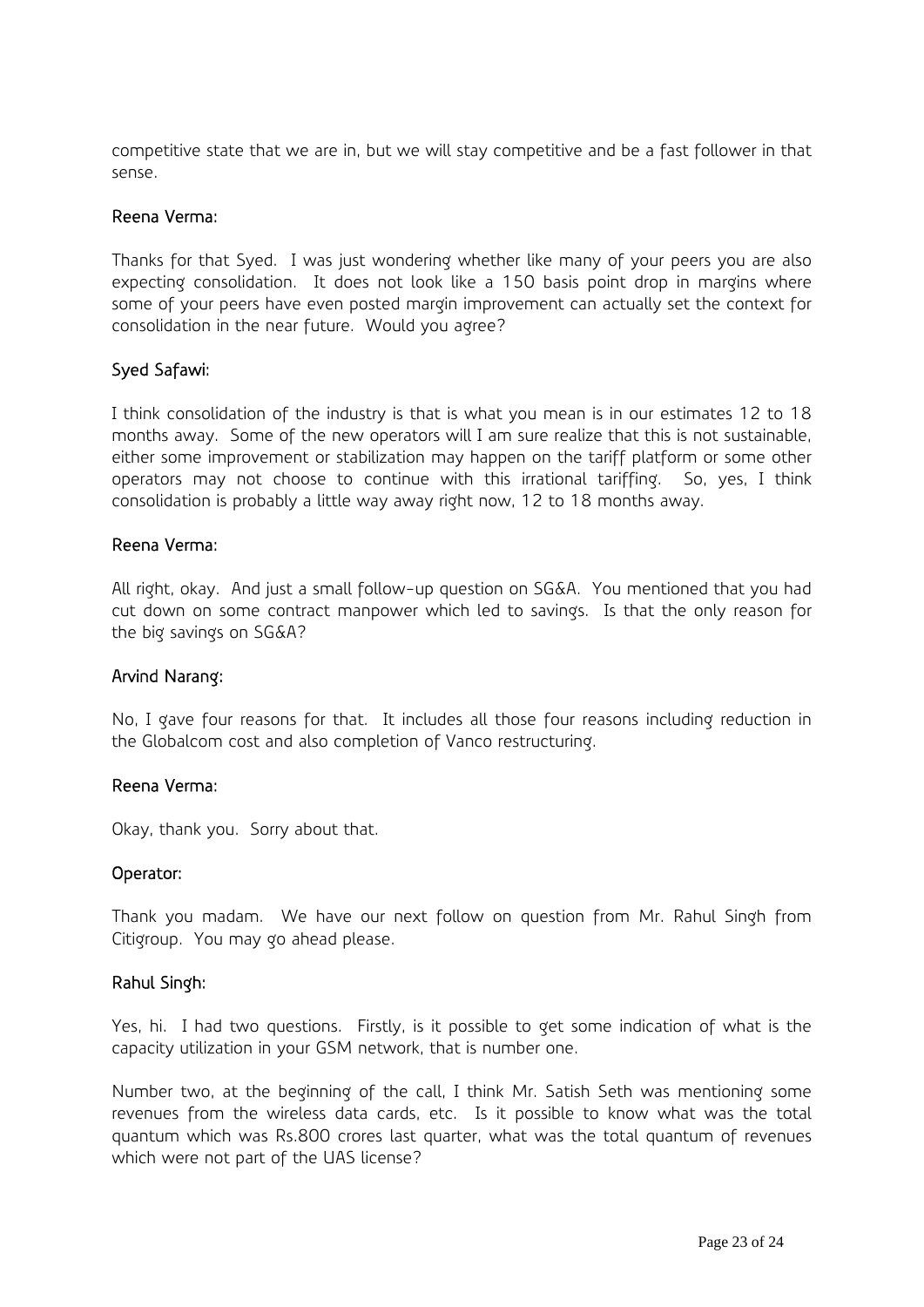competitive state that we are in, but we will stay competitive and be a fast follower in that sense.

#### Reena Verma:

Thanks for that Syed. I was just wondering whether like many of your peers you are also expecting consolidation. It does not look like a 150 basis point drop in margins where some of your peers have even posted margin improvement can actually set the context for consolidation in the near future. Would you agree?

### Syed Safawi:

I think consolidation of the industry is that is what you mean is in our estimates 12 to 18 months away. Some of the new operators will I am sure realize that this is not sustainable, either some improvement or stabilization may happen on the tariff platform or some other operators may not choose to continue with this irrational tariffing. So, yes, I think consolidation is probably a little way away right now, 12 to 18 months away.

#### Reena Verma:

All right, okay. And just a small follow-up question on SG&A. You mentioned that you had cut down on some contract manpower which led to savings. Is that the only reason for the big savings on SG&A?

#### Arvind Narang:

No, I gave four reasons for that. It includes all those four reasons including reduction in the Globalcom cost and also completion of Vanco restructuring.

#### Reena Verma:

Okay, thank you. Sorry about that.

#### Operator:

Thank you madam. We have our next follow on question from Mr. Rahul Singh from Citigroup. You may go ahead please.

#### Rahul Singh:

Yes, hi. I had two questions. Firstly, is it possible to get some indication of what is the capacity utilization in your GSM network, that is number one.

Number two, at the beginning of the call, I think Mr. Satish Seth was mentioning some revenues from the wireless data cards, etc. Is it possible to know what was the total quantum which was Rs.800 crores last quarter, what was the total quantum of revenues which were not part of the UAS license?